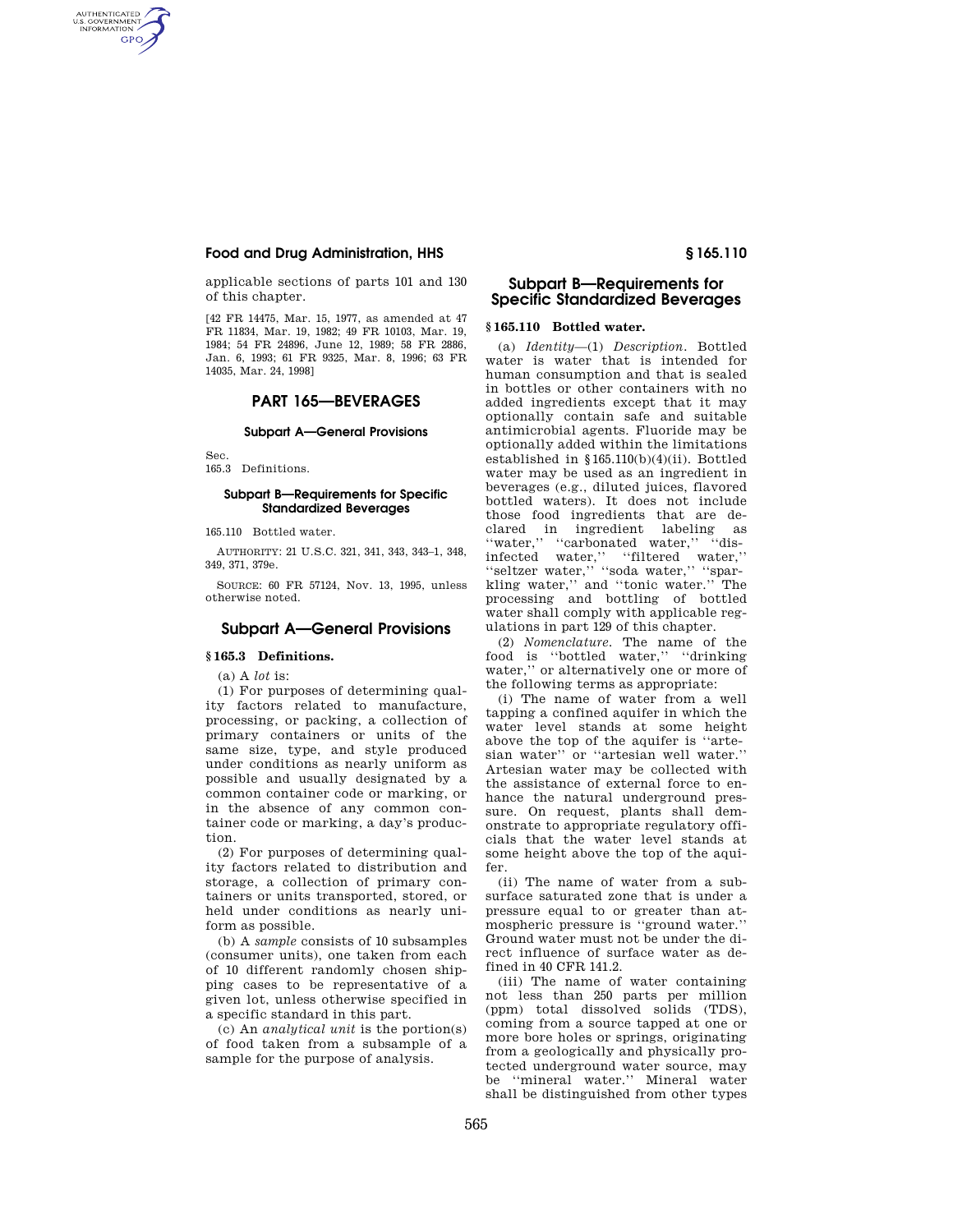applicable sections of parts 101 and 130 of this chapter.

[42 FR 14475, Mar. 15, 1977, as amended at 47 FR 11834, Mar. 19, 1982; 49 FR 10103, Mar. 19, 1984; 54 FR 24896, June 12, 1989; 58 FR 2886, Jan. 6, 1993; 61 FR 9325, Mar. 8, 1996; 63 FR 14035, Mar. 24, 1998]

#### **PART 165—BEVERAGES**

#### **Subpart A—General Provisions**

Sec.

AUTHENTICATED<br>U.S. GOVERNMENT<br>INFORMATION **GPO** 

165.3 Definitions.

#### **Subpart B—Requirements for Specific Standardized Beverages**

165.110 Bottled water.

AUTHORITY: 21 U.S.C. 321, 341, 343, 343–1, 348, 349, 371, 379e.

SOURCE: 60 FR 57124, Nov. 13, 1995, unless otherwise noted.

## **Subpart A—General Provisions**

#### **§ 165.3 Definitions.**

(a) A *lot* is:

(1) For purposes of determining quality factors related to manufacture, processing, or packing, a collection of primary containers or units of the same size, type, and style produced under conditions as nearly uniform as possible and usually designated by a common container code or marking, or in the absence of any common container code or marking, a day's production.

(2) For purposes of determining quality factors related to distribution and storage, a collection of primary containers or units transported, stored, or held under conditions as nearly uniform as possible.

(b) A *sample* consists of 10 subsamples (consumer units), one taken from each of 10 different randomly chosen shipping cases to be representative of a given lot, unless otherwise specified in a specific standard in this part.

(c) An *analytical unit* is the portion(s) of food taken from a subsample of a sample for the purpose of analysis.

# **Subpart B—Requirements for Specific Standardized Beverages**

### **§ 165.110 Bottled water.**

(a) *Identity*—(1) *Description.* Bottled water is water that is intended for human consumption and that is sealed in bottles or other containers with no added ingredients except that it may optionally contain safe and suitable antimicrobial agents. Fluoride may be optionally added within the limitations established in §165.110(b)(4)(ii). Bottled water may be used as an ingredient in beverages (e.g., diluted juices, flavored bottled waters). It does not include those food ingredients that are declared in ingredient labeling as ''water,'' ''carbonated water,'' ''disinfected water,'' ''filtered water,'' ''seltzer water,'' ''soda water,'' ''sparkling water,'' and ''tonic water.'' The processing and bottling of bottled water shall comply with applicable regulations in part 129 of this chapter.

(2) *Nomenclature.* The name of the food is ''bottled water,'' ''drinking water,'' or alternatively one or more of the following terms as appropriate:

(i) The name of water from a well tapping a confined aquifer in which the water level stands at some height above the top of the aquifer is ''artesian water'' or ''artesian well water.'' Artesian water may be collected with the assistance of external force to enhance the natural underground pressure. On request, plants shall demonstrate to appropriate regulatory officials that the water level stands at some height above the top of the aquifer.

(ii) The name of water from a subsurface saturated zone that is under a pressure equal to or greater than atmospheric pressure is ''ground water.'' Ground water must not be under the direct influence of surface water as defined in 40 CFR 141.2.

(iii) The name of water containing not less than 250 parts per million (ppm) total dissolved solids (TDS), coming from a source tapped at one or more bore holes or springs, originating from a geologically and physically protected underground water source, may be ''mineral water.'' Mineral water shall be distinguished from other types

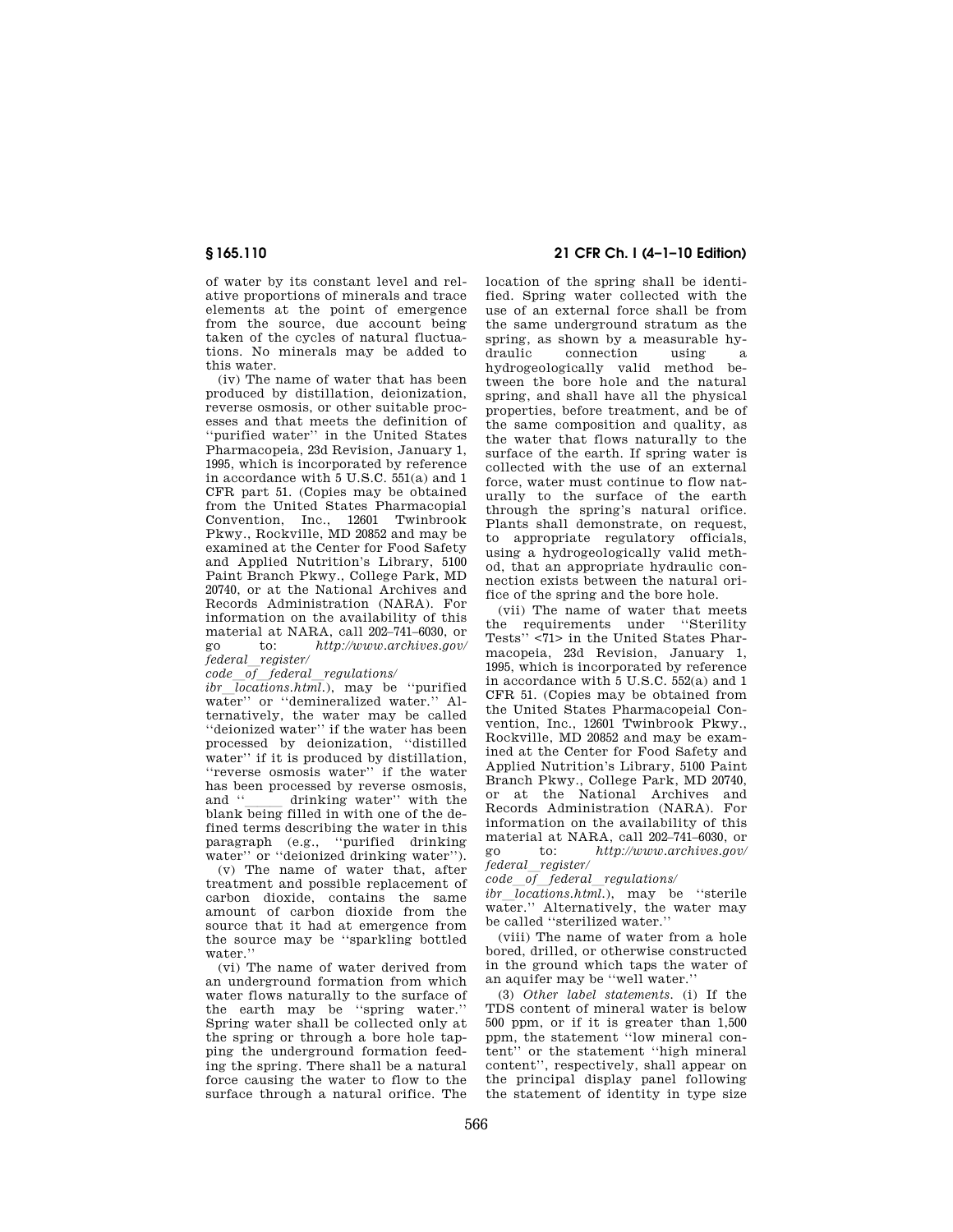of water by its constant level and relative proportions of minerals and trace elements at the point of emergence from the source, due account being taken of the cycles of natural fluctuations. No minerals may be added to this water.

(iv) The name of water that has been produced by distillation, deionization, reverse osmosis, or other suitable processes and that meets the definition of ''purified water'' in the United States Pharmacopeia, 23d Revision, January 1, 1995, which is incorporated by reference in accordance with 5 U.S.C. 551(a) and 1 CFR part 51. (Copies may be obtained from the United States Pharmacopial Convention, Inc., 12601 Twinbrook Pkwy., Rockville, MD 20852 and may be examined at the Center for Food Safety and Applied Nutrition's Library, 5100 Paint Branch Pkwy., College Park, MD 20740, or at the National Archives and Records Administration (NARA). For information on the availability of this material at NARA, call 202–741–6030, or go to: *http://www.archives.gov/*   $federal\_register/$ 

*code*l*of*l*federal*l*regulations/* 

*ibr*  $\overline{locations.html}$ .), may be "purified water'' or ''demineralized water.'' Alternatively, the water may be called ''deionized water'' if the water has been processed by deionization, ''distilled water'' if it is produced by distillation, ''reverse osmosis water'' if the water has been processed by reverse osmosis,<br>and " drinking water" with the and "\_\_\_\_\_\_\_ drinking water" with the<br>blank being filled in with one of the defined terms describing the water in this paragraph (e.g., ''purified drinking water'' or ''deionized drinking water'').

(v) The name of water that, after treatment and possible replacement of carbon dioxide, contains the same amount of carbon dioxide from the source that it had at emergence from the source may be ''sparkling bottled water.''

(vi) The name of water derived from an underground formation from which water flows naturally to the surface of the earth may be ''spring water.'' Spring water shall be collected only at the spring or through a bore hole tapping the underground formation feeding the spring. There shall be a natural force causing the water to flow to the surface through a natural orifice. The

**§ 165.110 21 CFR Ch. I (4–1–10 Edition)** 

location of the spring shall be identified. Spring water collected with the use of an external force shall be from the same underground stratum as the spring, as shown by a measurable hydraulic connection using a hydrogeologically valid method between the bore hole and the natural spring, and shall have all the physical properties, before treatment, and be of the same composition and quality, as the water that flows naturally to the surface of the earth. If spring water is collected with the use of an external force, water must continue to flow naturally to the surface of the earth through the spring's natural orifice. Plants shall demonstrate, on request, to appropriate regulatory officials, using a hydrogeologically valid method, that an appropriate hydraulic connection exists between the natural orifice of the spring and the bore hole.

(vii) The name of water that meets the requirements under ''Sterility Tests'' <71> in the United States Pharmacopeia, 23d Revision, January 1, 1995, which is incorporated by reference in accordance with 5 U.S.C. 552(a) and 1 CFR 51. (Copies may be obtained from the United States Pharmacopeial Convention, Inc., 12601 Twinbrook Pkwy., Rockville, MD 20852 and may be examined at the Center for Food Safety and Applied Nutrition's Library, 5100 Paint Branch Pkwy., College Park, MD 20740, or at the National Archives and Records Administration (NARA). For information on the availability of this material at NARA, call 202–741–6030, or go to: *http://www.archives.gov/* 

*federal\_register/*<br>*code of federal regulations/* 

*code*l*of*l*federal*l*regulations/ ibr*l*locations.html.*), may be ''sterile water.'' Alternatively, the water may be called ''sterilized water.''

(viii) The name of water from a hole bored, drilled, or otherwise constructed in the ground which taps the water of an aquifer may be ''well water.''

(3) *Other label statements.* (i) If the TDS content of mineral water is below 500 ppm, or if it is greater than 1,500 ppm, the statement ''low mineral content'' or the statement ''high mineral content'', respectively, shall appear on the principal display panel following the statement of identity in type size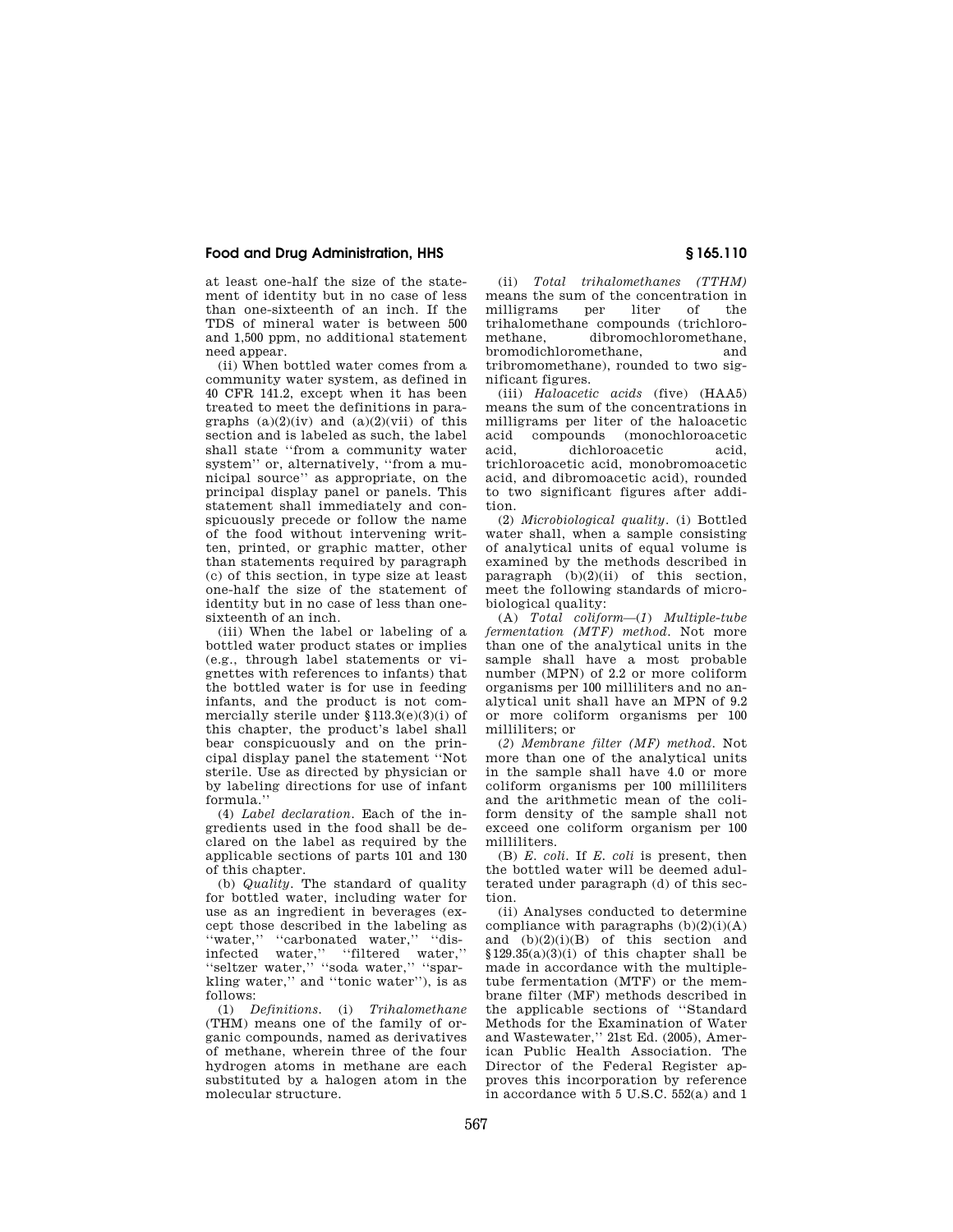at least one-half the size of the statement of identity but in no case of less than one-sixteenth of an inch. If the TDS of mineral water is between 500 and 1,500 ppm, no additional statement need appear.

(ii) When bottled water comes from a community water system, as defined in 40 CFR 141.2, except when it has been treated to meet the definitions in paragraphs  $(a)(2)(iv)$  and  $(a)(2)(vii)$  of this section and is labeled as such, the label shall state ''from a community water system'' or, alternatively, ''from a municipal source'' as appropriate, on the principal display panel or panels. This statement shall immediately and conspicuously precede or follow the name of the food without intervening written, printed, or graphic matter, other than statements required by paragraph (c) of this section, in type size at least one-half the size of the statement of identity but in no case of less than onesixteenth of an inch.

(iii) When the label or labeling of a bottled water product states or implies (e.g., through label statements or vignettes with references to infants) that the bottled water is for use in feeding infants, and the product is not commercially sterile under §113.3(e)(3)(i) of this chapter, the product's label shall bear conspicuously and on the principal display panel the statement ''Not sterile. Use as directed by physician or by labeling directions for use of infant formula.''

(4) *Label declaration.* Each of the ingredients used in the food shall be declared on the label as required by the applicable sections of parts 101 and 130 of this chapter.

(b) *Quality.* The standard of quality for bottled water, including water for use as an ingredient in beverages (except those described in the labeling as ''water,'' ''carbonated water,'' ''disinfected water,'' ''filtered water,'' ''seltzer water,'' ''soda water,'' ''sparkling water,'' and ''tonic water''), is as follows:

(1) *Definitions.* (i) *Trihalomethane*  (THM) means one of the family of organic compounds, named as derivatives of methane, wherein three of the four hydrogen atoms in methane are each substituted by a halogen atom in the molecular structure.

(ii) *Total trihalomethanes (TTHM)*  means the sum of the concentration in milligrams per liter of the trihalomethane compounds (trichlorodibromochloromethane. bromodichloromethane, and tribromomethane), rounded to two significant figures.

(iii) *Haloacetic acids* (five) (HAA5) means the sum of the concentrations in milligrams per liter of the haloacetic acid compounds (monochloroacetic acid, dichloroacetic acid, trichloroacetic acid, monobromoacetic acid, and dibromoacetic acid), rounded to two significant figures after addition.

(2) *Microbiological quality*. (i) Bottled water shall, when a sample consisting of analytical units of equal volume is examined by the methods described in paragraph  $(b)(2)(ii)$  of this section, meet the following standards of microbiological quality:

(A) *Total coliform*—(*1*) *Multiple-tube fermentation (MTF) method*. Not more than one of the analytical units in the sample shall have a most probable number (MPN) of 2.2 or more coliform organisms per 100 milliliters and no analytical unit shall have an MPN of 9.2 or more coliform organisms per 100 milliliters; or

(*2*) *Membrane filter (MF) method*. Not more than one of the analytical units in the sample shall have 4.0 or more coliform organisms per 100 milliliters and the arithmetic mean of the coliform density of the sample shall not exceed one coliform organism per 100 milliliters.

(B) *E. coli*. If *E. coli* is present, then the bottled water will be deemed adulterated under paragraph (d) of this section.

(ii) Analyses conducted to determine compliance with paragraphs  $(b)(2)(i)(A)$ and  $(b)(2)(i)(B)$  of this section and §129.35(a)(3)(i) of this chapter shall be made in accordance with the multipletube fermentation (MTF) or the membrane filter (MF) methods described in the applicable sections of ''Standard Methods for the Examination of Water and Wastewater,'' 21st Ed. (2005), American Public Health Association. The Director of the Federal Register approves this incorporation by reference in accordance with 5 U.S.C. 552(a) and 1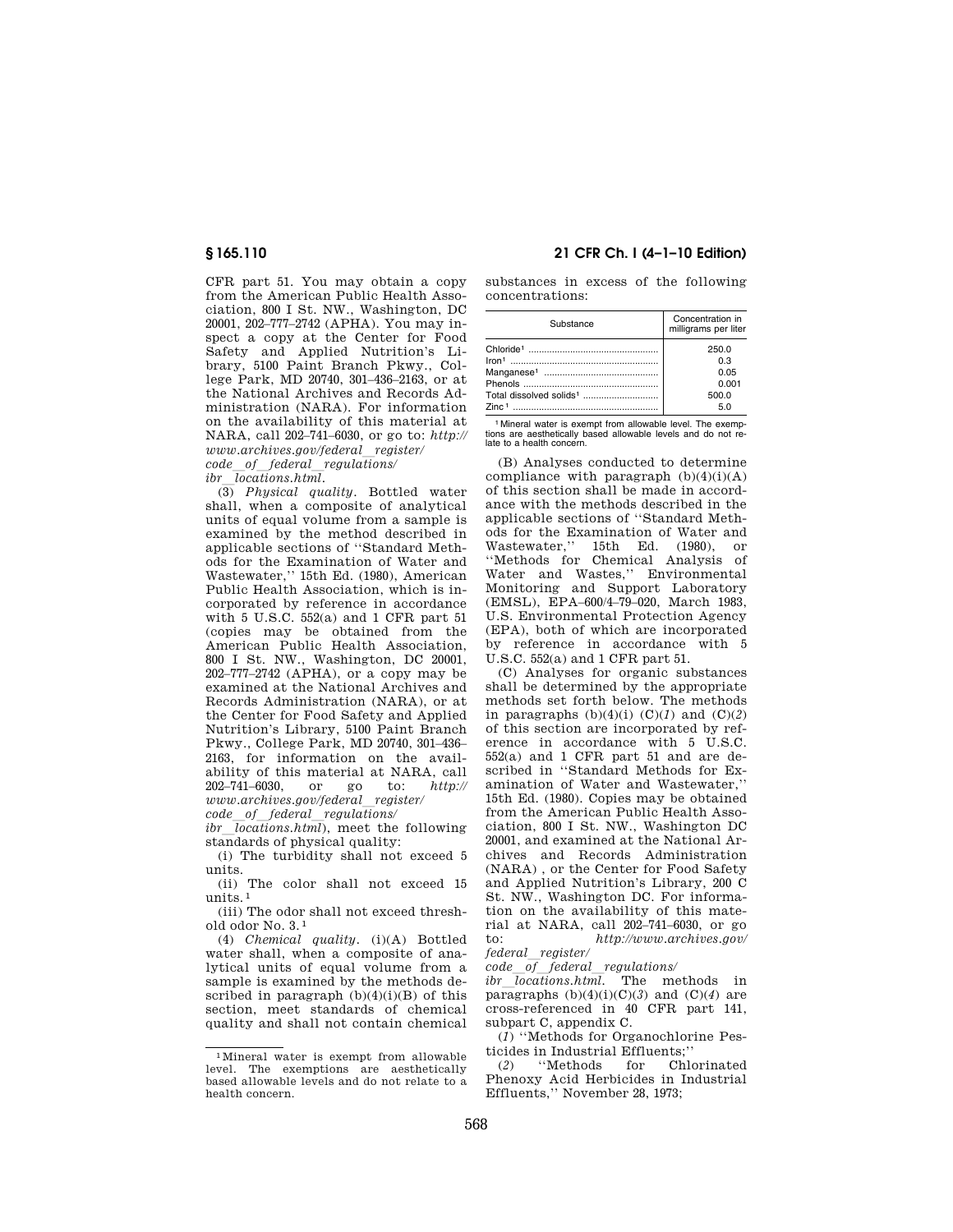CFR part 51. You may obtain a copy from the American Public Health Association, 800 I St. NW., Washington, DC 20001, 202–777–2742 (APHA). You may inspect a copy at the Center for Food Safety and Applied Nutrition's Library, 5100 Paint Branch Pkwy., College Park, MD 20740, 301–436–2163, or at the National Archives and Records Administration (NARA). For information on the availability of this material at NARA, call 202–741–6030, or go to: *http:// www.archives.gov/federal*l*register/ code*l*of*l*federal*l*regulations/* 

*ibr*l*locations.html*.

(3) *Physical quality*. Bottled water shall, when a composite of analytical units of equal volume from a sample is examined by the method described in applicable sections of ''Standard Methods for the Examination of Water and Wastewater,'' 15th Ed. (1980), American Public Health Association, which is incorporated by reference in accordance with 5 U.S.C. 552(a) and 1 CFR part 51 (copies may be obtained from the American Public Health Association, 800 I St. NW., Washington, DC 20001, 202–777–2742 (APHA), or a copy may be examined at the National Archives and Records Administration (NARA), or at the Center for Food Safety and Applied Nutrition's Library, 5100 Paint Branch Pkwy., College Park, MD 20740, 301–436– 2163, for information on the availability of this material at NARA, call 202–741–6030, or go to: *http:// www.archives.gov/federal*l*register/ code*l*of*l*federal*l*regulations/* 

*ibr*  $\overline{locations.html}$ , meet the following standards of physical quality:

(i) The turbidity shall not exceed 5 units.

(ii) The color shall not exceed 15 units. 1

(iii) The odor shall not exceed threshold odor No. 3. 1

(4) *Chemical quality.* (i)(A) Bottled water shall, when a composite of analytical units of equal volume from a sample is examined by the methods described in paragraph  $(b)(4)(i)(B)$  of this section, meet standards of chemical quality and shall not contain chemical

# **§ 165.110 21 CFR Ch. I (4–1–10 Edition)**

substances in excess of the following concentrations:

| Substance                           | Concentration in<br>milligrams per liter |
|-------------------------------------|------------------------------------------|
|                                     | 250.0<br>0.3                             |
|                                     | 0.05                                     |
|                                     | 0.001                                    |
| Total dissolved solids <sup>1</sup> | 500.0                                    |
|                                     | 5.0                                      |

<sup>1</sup> Mineral water is exempt from allowable level. The exemptions are aesthetically based allowable levels and do not relate to a health concern.

(B) Analyses conducted to determine compliance with paragraph  $(b)(4)(i)(A)$ of this section shall be made in accordance with the methods described in the applicable sections of ''Standard Methods for the Examination of Water and Wastewater,'' 15th Ed. (1980), or ''Methods for Chemical Analysis of Water and Wastes,'' Environmental Monitoring and Support Laboratory (EMSL), EPA–600/4–79–020, March 1983, U.S. Environmental Protection Agency (EPA), both of which are incorporated by reference in accordance with 5 U.S.C. 552(a) and 1 CFR part 51.

(C) Analyses for organic substances shall be determined by the appropriate methods set forth below. The methods in paragraphs  $(b)(4)(i)$   $(C)(1)$  and  $(C)(2)$ of this section are incorporated by reference in accordance with 5 U.S.C. 552(a) and 1 CFR part 51 and are described in "Standard Methods for Examination of Water and Wastewater,'' 15th Ed. (1980). Copies may be obtained from the American Public Health Association, 800 I St. NW., Washington DC 20001, and examined at the National Archives and Records Administration (NARA) , or the Center for Food Safety and Applied Nutrition's Library, 200 C St. NW., Washington DC. For information on the availability of this material at NARA, call 202–741–6030, or go to: *http://www.archives.gov/* 

*federal*l*register/* 

*code*l*of*l*federal*l*regulations/ ibr locations.html*. The methods in paragraphs  $(b)(4)(i)(C)(3)$  and  $(C)(4)$  are cross-referenced in 40 CFR part 141, subpart C, appendix C.

(*1*) ''Methods for Organochlorine Pesticides in Industrial Effluents;''

(*2*) ''Methods for Chlorinated Phenoxy Acid Herbicides in Industrial Effluents,'' November 28, 1973;

<sup>1</sup>Mineral water is exempt from allowable level. The exemptions are aesthetically based allowable levels and do not relate to a health concern.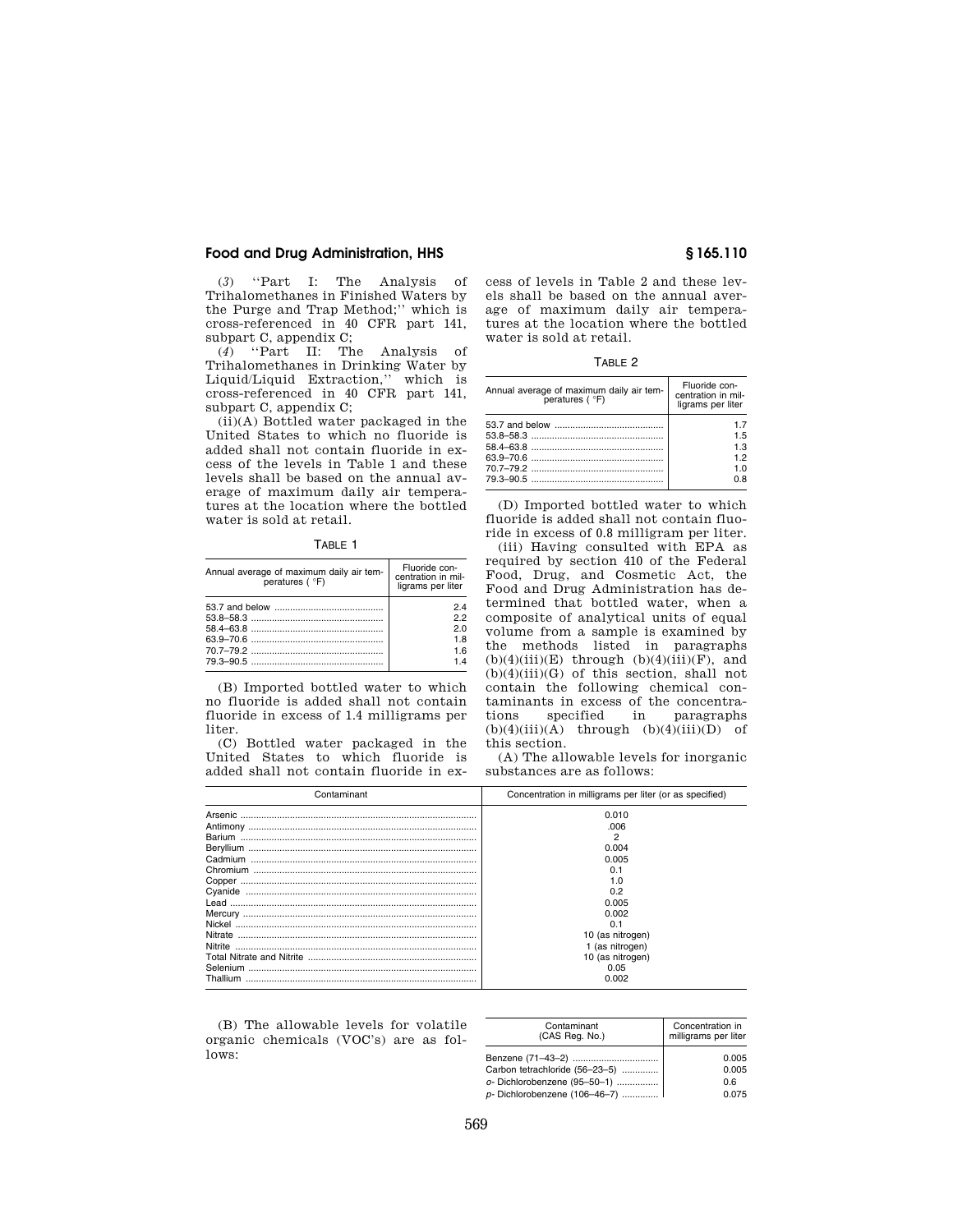(*3*) ''Part I: The Analysis of Trihalomethanes in Finished Waters by the Purge and Trap Method;'' which is cross-referenced in 40 CFR part 141, subpart C, appendix C;

(*4*) ''Part II: The Analysis of Trihalomethanes in Drinking Water by Liquid/Liquid Extraction,'' which is cross-referenced in 40 CFR part 141, subpart C, appendix C;

(ii)(A) Bottled water packaged in the United States to which no fluoride is added shall not contain fluoride in excess of the levels in Table 1 and these levels shall be based on the annual average of maximum daily air temperatures at the location where the bottled water is sold at retail.

TABLE 1

| Annual average of maximum daily air tem-<br>peratures ( °F) | Fluoride con-<br>centration in mil-<br>ligrams per liter |
|-------------------------------------------------------------|----------------------------------------------------------|
|                                                             | 24                                                       |
|                                                             | 22                                                       |
|                                                             | 2 በ                                                      |
|                                                             | 1 R                                                      |
|                                                             | 16                                                       |
|                                                             | 14                                                       |

(B) Imported bottled water to which no fluoride is added shall not contain fluoride in excess of 1.4 milligrams per liter.

(C) Bottled water packaged in the United States to which fluoride is added shall not contain fluoride in excess of levels in Table 2 and these levels shall be based on the annual average of maximum daily air temperatures at the location where the bottled water is sold at retail.

TABLE 2

| Annual average of maximum daily air tem-<br>peratures ( °F) | Fluoride con-<br>centration in mil-<br>ligrams per liter |
|-------------------------------------------------------------|----------------------------------------------------------|
|                                                             | 17                                                       |
|                                                             | 15                                                       |
|                                                             | 1.3                                                      |
|                                                             | 12                                                       |
|                                                             | 1 <sub>0</sub>                                           |
|                                                             | በ ጸ                                                      |

(D) Imported bottled water to which fluoride is added shall not contain fluoride in excess of 0.8 milligram per liter.

(iii) Having consulted with EPA as required by section 410 of the Federal Food, Drug, and Cosmetic Act, the Food and Drug Administration has determined that bottled water, when a composite of analytical units of equal volume from a sample is examined by the methods listed in paragraphs (b)(4)(iii)(E) through (b)(4)(iii)(F), and  $(b)(4)(iii)(G)$  of this section, shall not contain the following chemical contaminants in excess of the concentrations specified in paragraphs (b)(4)(iii)(A) through (b)(4)(iii)(D) of this section.

(A) The allowable levels for inorganic substances are as follows:

| Contaminant      | Concentration in milligrams per liter (or as specified) |
|------------------|---------------------------------------------------------|
|                  | 0.010                                                   |
|                  | .006                                                    |
| Barium           |                                                         |
| <b>Bervillum</b> | 0.004                                                   |
|                  | 0.005                                                   |
|                  | 0.1                                                     |
|                  | 1.0                                                     |
|                  | 0.2                                                     |
|                  | 0.005                                                   |
|                  | 0.002                                                   |
|                  | 0.1                                                     |
|                  | 10 (as nitrogen)                                        |
| Nitrite          | 1 (as nitrogen)                                         |
|                  | 10 (as nitrogen)                                        |
| Selenium         | 0.05                                                    |
| Thallium         | 0.002                                                   |

(B) The allowable levels for volatile organic chemicals (VOC's) are as follows:

| Contaminant<br>(CAS Req. No.)  | Concentration in<br>milligrams per liter |
|--------------------------------|------------------------------------------|
|                                | 0.005                                    |
| Carbon tetrachloride (56-23-5) | 0.005                                    |
| o- Dichlorobenzene (95-50-1)   | 0.6                                      |
| p- Dichlorobenzene (106-46-7)  | 0.075                                    |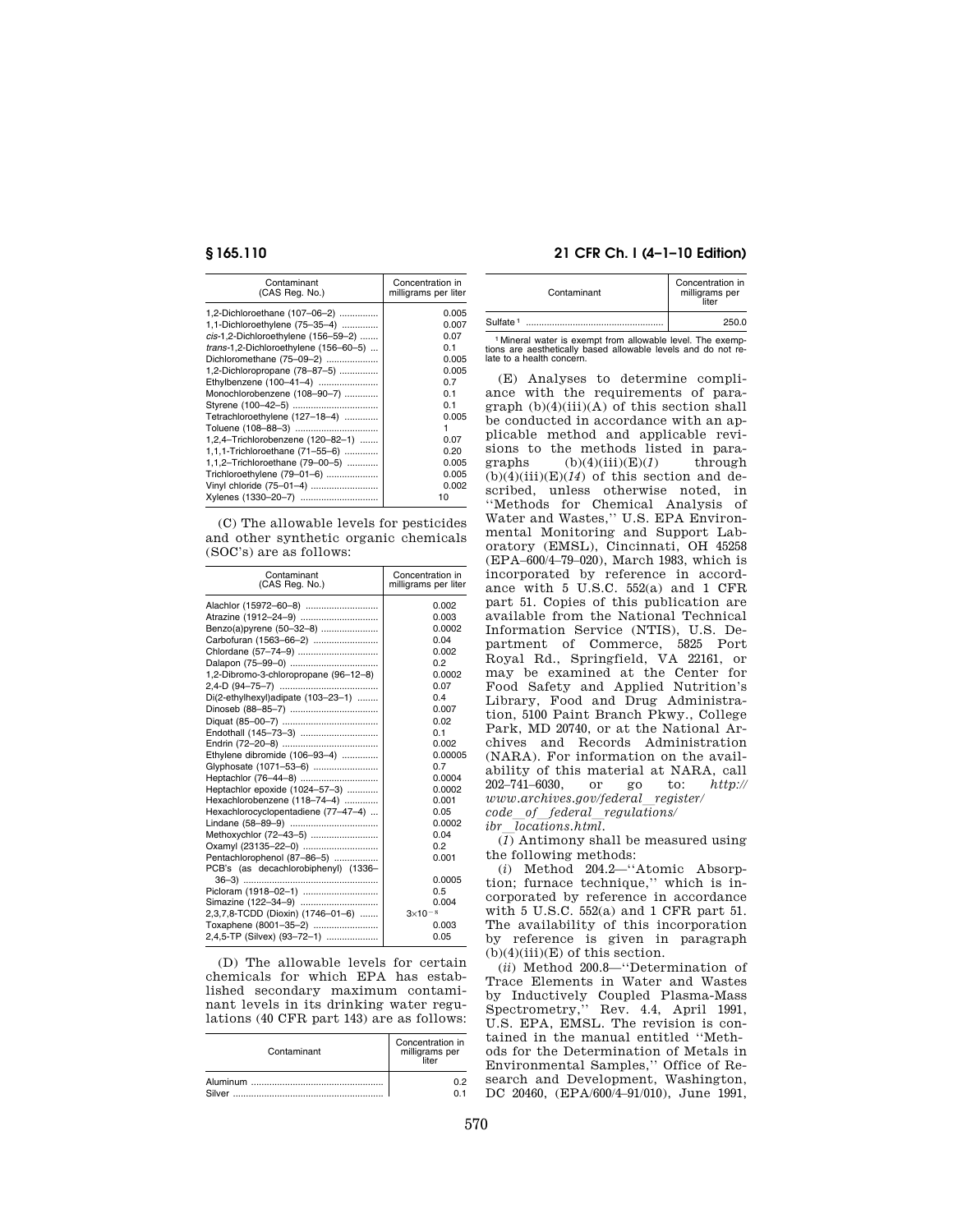| Contaminant<br>(CAS Reg. No.)                                   | Concentration in<br>milligrams per liter |
|-----------------------------------------------------------------|------------------------------------------|
| 1,2-Dichloroethane (107-06-2)<br>1,1-Dichloroethylene (75-35-4) | 0.005<br>0.007                           |
| cis-1,2-Dichloroethylene (156-59-2)                             | 0.07                                     |
| trans-1,2-Dichloroethylene (156-60-5)                           | 0.1                                      |
| Dichloromethane (75-09-2)<br>1,2-Dichloropropane (78-87-5)      | 0.005<br>0.005                           |
| Ethylbenzene (100-41-4)                                         | 0.7                                      |
| Monochlorobenzene (108-90-7)                                    | 0.1                                      |
| Styrene (100-42-5)                                              | 0.1                                      |
| Tetrachloroethylene (127-18-4)<br>Toluene (108-88-3)            | 0.005<br>1                               |
| 1,2,4-Trichlorobenzene (120-82-1)                               | 0.07                                     |
| 1,1,1-Trichloroethane (71-55-6)                                 | 0.20                                     |
| 1,1,2-Trichloroethane (79-00-5)                                 | 0.005                                    |
| Trichloroethylene (79-01-6)                                     | 0.005                                    |
| Vinyl chloride (75-01-4)<br>Xylenes (1330-20-7)                 | 0.002<br>10                              |

(C) The allowable levels for pesticides and other synthetic organic chemicals (SOC's) are as follows:

| Contaminant                           | Concentration in     |
|---------------------------------------|----------------------|
| (CAS Reg. No.)                        | milligrams per liter |
| Alachlor (15972-60-8)                 | 0.002                |
| Atrazine (1912-24-9)                  | 0.003                |
| Benzo(a)pyrene (50-32-8)              | 0.0002               |
| Carbofuran (1563-66-2)                | 0.04                 |
| Chlordane (57-74-9)                   | 0.002                |
|                                       | 0.2                  |
| 1,2-Dibromo-3-chloropropane (96-12-8) | 0.0002               |
| 2,4-D (94-75-7)                       | 0.07                 |
| Di(2-ethylhexyl)adipate (103-23-1)    | 0.4                  |
| Dinoseb (88-85-7)                     | 0.007                |
|                                       | 0.02                 |
| Endothall (145-73-3)                  | 0.1                  |
|                                       | 0.002                |
| Ethylene dibromide (106-93-4)         | 0.00005              |
| Glyphosate (1071-53-6)                | 0.7                  |
| Heptachlor (76-44-8)                  | 0.0004               |
| Heptachlor epoxide (1024-57-3)        | 0.0002               |
| Hexachlorobenzene (118-74-4)          | 0.001                |
| Hexachlorocyclopentadiene (77-47-4)   | 0.05                 |
|                                       | 0.0002               |
| Methoxychlor (72-43-5)                | 0.04                 |
| Oxamyl (23135-22-0)                   | 0.2                  |
| Pentachlorophenol (87-86-5)           | 0.001                |
| PCB's (as decachlorobiphenyl) (1336-  | 0.0005               |
| Picloram (1918-02-1)                  | 0.5                  |
| Simazine (122-34-9)                   | 0.004                |
| 2,3,7,8-TCDD (Dioxin) (1746-01-6)     | $3 \times 10^{-8}$   |
| Toxaphene (8001-35-2)                 | 0.003                |
| 2,4,5-TP (Silvex) (93-72-1)           | 0.05                 |

(D) The allowable levels for certain chemicals for which EPA has established secondary maximum contaminant levels in its drinking water regulations (40 CFR part 143) are as follows:

| Contaminant | Concentration in<br>milligrams per<br>liter |
|-------------|---------------------------------------------|
|             | በ 2                                         |

## **§ 165.110 21 CFR Ch. I (4–1–10 Edition)**

| Contaminant          | Concentration in<br>milligrams per<br>liter |
|----------------------|---------------------------------------------|
| Sulfate <sup>1</sup> | 250.0                                       |
| $-$                  |                                             |

1 Mineral water is exempt from allowable level. The exemp-tions are aesthetically based allowable levels and do not relate to a health concern.

(E) Analyses to determine compliance with the requirements of para $graph (b)(4)(iii)(A)$  of this section shall be conducted in accordance with an applicable method and applicable revisions to the methods listed in paragraphs  $(b)(4)(iii)(E)(1)$  through  $(b)(4)(iii)(E)(14)$  of this section and described, unless otherwise noted, in ''Methods for Chemical Analysis of Water and Wastes,'' U.S. EPA Environmental Monitoring and Support Laboratory (EMSL), Cincinnati, OH 45258 (EPA–600/4–79–020), March 1983, which is incorporated by reference in accordance with 5 U.S.C. 552(a) and 1 CFR part 51. Copies of this publication are available from the National Technical Information Service (NTIS), U.S. Department of Commerce, 5825 Port Royal Rd., Springfield, VA 22161, or may be examined at the Center for Food Safety and Applied Nutrition's Library, Food and Drug Administration, 5100 Paint Branch Pkwy., College Park, MD 20740, or at the National Archives and Records Administration (NARA). For information on the availability of this material at NARA, call  $202-741-6030$ , or go to:  $http://$ 202–741–6030, or *www.archives.gov/federal*l*register/ code*l*of*l*federal*l*regulations/* 

*ibr*l*locations.html*.

 $\overline{(1)}$  Antimony shall be measured using the following methods:

(*i*) Method 204.2—''Atomic Absorption; furnace technique,'' which is incorporated by reference in accordance with 5 U.S.C. 552(a) and 1 CFR part 51. The availability of this incorporation by reference is given in paragraph  $(b)(4)(iii)(E)$  of this section.

(*ii*) Method 200.8—''Determination of Trace Elements in Water and Wastes by Inductively Coupled Plasma-Mass Spectrometry,'' Rev. 4.4, April 1991, U.S. EPA, EMSL. The revision is contained in the manual entitled ''Methods for the Determination of Metals in Environmental Samples,'' Office of Research and Development, Washington, DC 20460, (EPA/600/4–91/010), June 1991,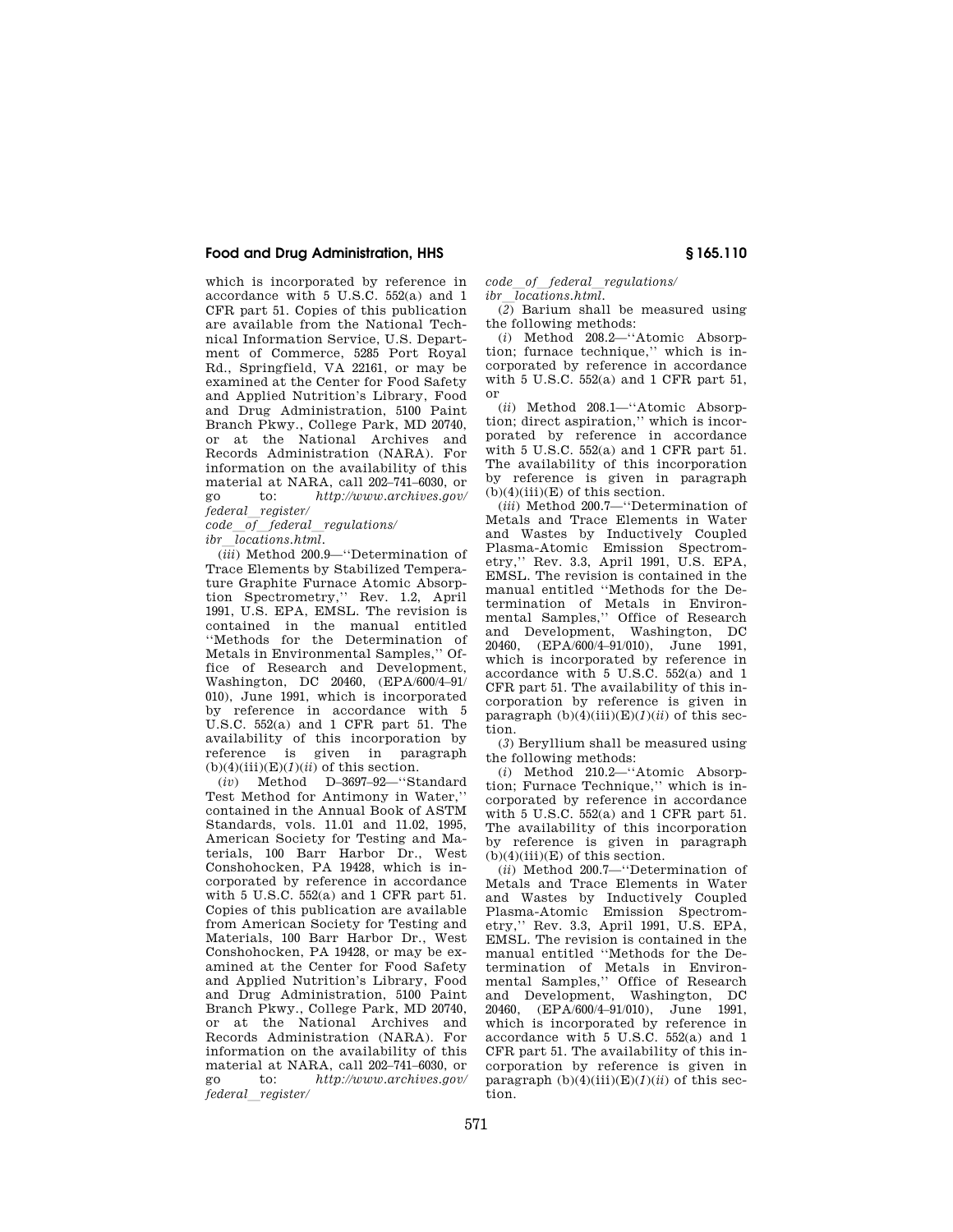which is incorporated by reference in accordance with 5 U.S.C. 552(a) and 1 CFR part 51. Copies of this publication are available from the National Technical Information Service, U.S. Department of Commerce, 5285 Port Royal Rd., Springfield, VA 22161, or may be examined at the Center for Food Safety and Applied Nutrition's Library, Food and Drug Administration, 5100 Paint Branch Pkwy., College Park, MD 20740, or at the National Archives and Records Administration (NARA). For information on the availability of this material at NARA, call 202–741–6030, or go to: *http://www.archives.gov/ federal*l*register/* 

*code\_of\_federal\_regulations/*<br>*ibr locations.html.* 

*ibr*l*locations.html.*  (*iii*) Method 200.9—''Determination of Trace Elements by Stabilized Temperature Graphite Furnace Atomic Absorption Spectrometry,'' Rev. 1.2, April 1991, U.S. EPA, EMSL. The revision is contained in the manual entitled ''Methods for the Determination of Metals in Environmental Samples,'' Office of Research and Development, Washington, DC 20460, (EPA/600/4–91/ 010), June 1991, which is incorporated by reference in accordance with 5 U.S.C. 552(a) and 1 CFR part 51. The availability of this incorporation by reference is given in paragraph  $(b)(4)(iii)(E)(I)(ii)$  of this section.

(*iv*) Method D–3697–92—''Standard Test Method for Antimony in Water,'' contained in the Annual Book of ASTM Standards, vols. 11.01 and 11.02, 1995, American Society for Testing and Materials, 100 Barr Harbor Dr., West Conshohocken, PA 19428, which is incorporated by reference in accordance with 5 U.S.C. 552(a) and 1 CFR part 51. Copies of this publication are available from American Society for Testing and Materials, 100 Barr Harbor Dr., West Conshohocken, PA 19428, or may be examined at the Center for Food Safety and Applied Nutrition's Library, Food and Drug Administration, 5100 Paint Branch Pkwy., College Park, MD 20740, or at the National Archives and Records Administration (NARA). For information on the availability of this material at NARA, call 202–741–6030, or go to: *http://www.archives.gov/ federal*l*register/* 

*code\_of\_federal\_regulations/*<br>*ibr locations.html.* 

*ibr*l*locations.html.*  (*2*) Barium shall be measured using the following methods:

(*i*) Method 208.2—''Atomic Absorption; furnace technique,'' which is incorporated by reference in accordance with 5 U.S.C. 552(a) and 1 CFR part 51, or

(*ii*) Method 208.1—''Atomic Absorption; direct aspiration,'' which is incorporated by reference in accordance with  $5 \text{ U.S.C. } 552(a)$  and  $1 \text{ CFR part } 51$ . The availability of this incorporation by reference is given in paragraph  $(b)(4)(iii)(E)$  of this section.

(*iii*) Method 200.7—''Determination of Metals and Trace Elements in Water and Wastes by Inductively Coupled Plasma-Atomic Emission Spectrometry,'' Rev. 3.3, April 1991, U.S. EPA, EMSL. The revision is contained in the manual entitled ''Methods for the Determination of Metals in Environmental Samples,'' Office of Research and Development, Washington, DC 20460, (EPA/600/4-91/010), June 1991, which is incorporated by reference in accordance with 5 U.S.C. 552(a) and 1 CFR part 51. The availability of this incorporation by reference is given in paragraph  $(b)(4)(iii)(E)(1)(ii)$  of this section.

(*3*) Beryllium shall be measured using the following methods:

(*i*) Method 210.2—''Atomic Absorption; Furnace Technique,'' which is incorporated by reference in accordance with 5 U.S.C. 552(a) and 1 CFR part 51. The availability of this incorporation by reference is given in paragraph  $(b)(4)(iii)(E)$  of this section.

(*ii*) Method 200.7—''Determination of Metals and Trace Elements in Water and Wastes by Inductively Coupled Plasma-Atomic Emission Spectrometry,'' Rev. 3.3, April 1991, U.S. EPA, EMSL. The revision is contained in the manual entitled ''Methods for the Determination of Metals in Environmental Samples,'' Office of Research and Development, Washington, DC 20460, (EPA/600/4–91/010), June 1991, which is incorporated by reference in accordance with 5 U.S.C. 552(a) and 1 CFR part 51. The availability of this incorporation by reference is given in paragraph  $(b)(4)(iii)(E)(I)(ii)$  of this section.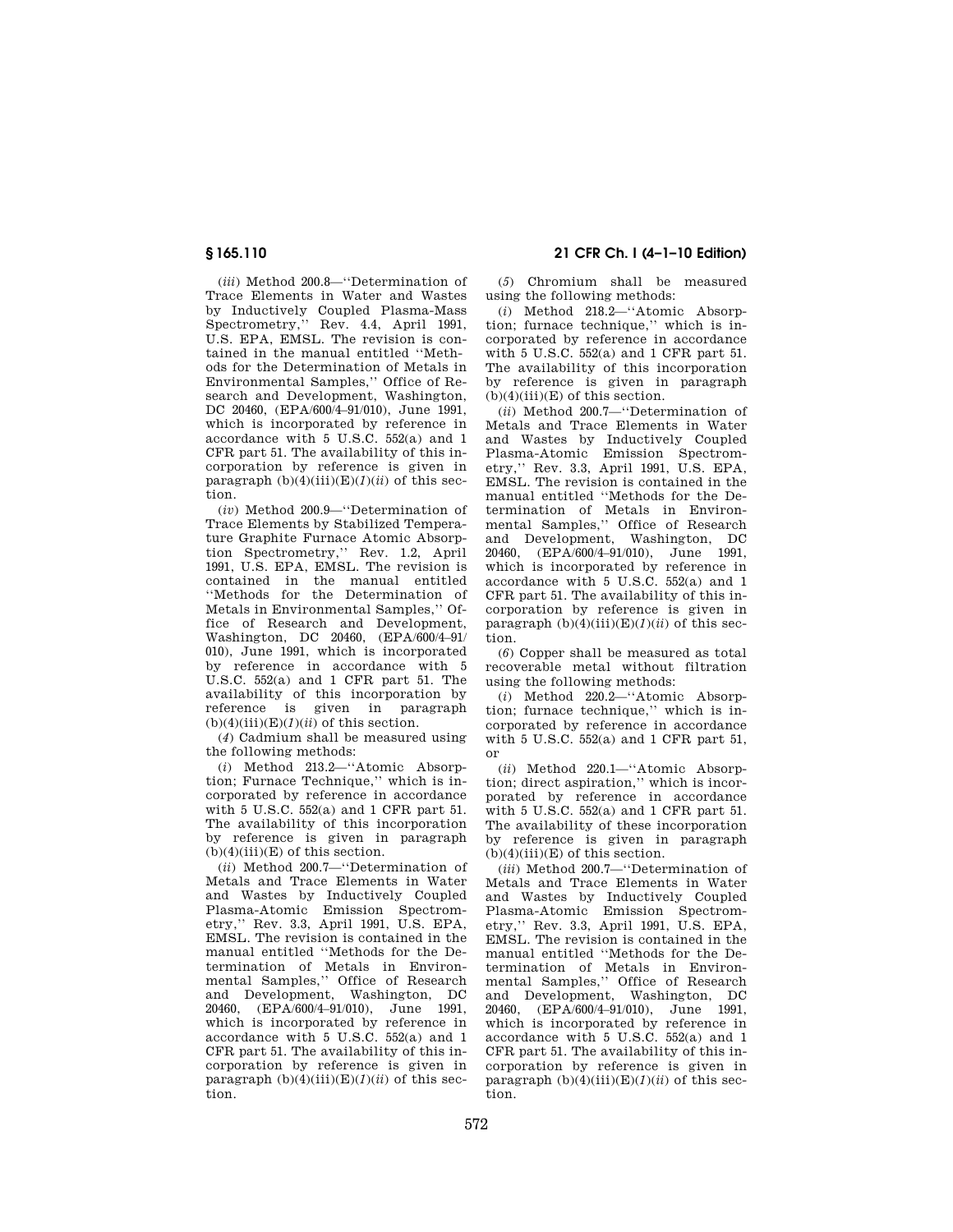(*iii*) Method 200.8—''Determination of Trace Elements in Water and Wastes by Inductively Coupled Plasma-Mass Spectrometry,'' Rev. 4.4, April 1991, U.S. EPA, EMSL. The revision is contained in the manual entitled ''Methods for the Determination of Metals in Environmental Samples,'' Office of Research and Development, Washington, DC 20460, (EPA/600/4–91/010), June 1991, which is incorporated by reference in accordance with 5 U.S.C. 552(a) and 1 CFR part 51. The availability of this incorporation by reference is given in paragraph  $(b)(4)(iii)(E)(1)(ii)$  of this section.

(*iv*) Method 200.9—''Determination of Trace Elements by Stabilized Temperature Graphite Furnace Atomic Absorption Spectrometry,'' Rev. 1.2, April 1991, U.S. EPA, EMSL. The revision is contained in the manual entitled ''Methods for the Determination of Metals in Environmental Samples,'' Office of Research and Development, Washington, DC 20460, (EPA/600/4–91/ 010), June 1991, which is incorporated by reference in accordance with 5 U.S.C. 552(a) and 1 CFR part 51. The availability of this incorporation by reference is given in paragraph  $(b)(4)(iii)(E)(I)(ii)$  of this section.

(*4*) Cadmium shall be measured using the following methods:

(*i*) Method 213.2—''Atomic Absorption; Furnace Technique,'' which is incorporated by reference in accordance with 5 U.S.C. 552(a) and 1 CFR part 51. The availability of this incorporation by reference is given in paragraph  $(b)(4)(iii)(E)$  of this section.

(*ii*) Method 200.7—''Determination of Metals and Trace Elements in Water and Wastes by Inductively Coupled Plasma-Atomic Emission Spectrometry,'' Rev. 3.3, April 1991, U.S. EPA, EMSL. The revision is contained in the manual entitled ''Methods for the Determination of Metals in Environmental Samples,'' Office of Research and Development, Washington, DC 20460, (EPA/600/4–91/010), June 1991, which is incorporated by reference in accordance with 5 U.S.C. 552(a) and 1 CFR part 51. The availability of this incorporation by reference is given in paragraph  $(b)(4)(iii)(E)(I)(ii)$  of this section.

# **§ 165.110 21 CFR Ch. I (4–1–10 Edition)**

(*5*) Chromium shall be measured using the following methods:

(*i*) Method 218.2—''Atomic Absorption; furnace technique,'' which is incorporated by reference in accordance with 5 U.S.C. 552(a) and 1 CFR part 51. The availability of this incorporation by reference is given in paragraph  $(b)(4)(iii)(E)$  of this section.

(*ii*) Method 200.7—''Determination of Metals and Trace Elements in Water and Wastes by Inductively Coupled Plasma-Atomic Emission Spectrometry,'' Rev. 3.3, April 1991, U.S. EPA, EMSL. The revision is contained in the manual entitled ''Methods for the Determination of Metals in Environmental Samples,'' Office of Research and Development, Washington, DC 20460, (EPA/600/4–91/010), June 1991, which is incorporated by reference in accordance with 5 U.S.C. 552(a) and 1 CFR part 51. The availability of this incorporation by reference is given in paragraph  $(b)(4)(iii)(E)(1)(ii)$  of this section.

(*6*) Copper shall be measured as total recoverable metal without filtration using the following methods:

(*i*) Method 220.2—''Atomic Absorption; furnace technique,'' which is incorporated by reference in accordance with 5 U.S.C. 552(a) and 1 CFR part 51, or

(*ii*) Method 220.1—''Atomic Absorption; direct aspiration,'' which is incorporated by reference in accordance with 5 U.S.C. 552(a) and 1 CFR part 51. The availability of these incorporation by reference is given in paragraph  $(b)(4)(iii)(E)$  of this section.

(*iii*) Method 200.7—''Determination of Metals and Trace Elements in Water and Wastes by Inductively Coupled Plasma-Atomic Emission Spectrometry,'' Rev. 3.3, April 1991, U.S. EPA, EMSL. The revision is contained in the manual entitled ''Methods for the Determination of Metals in Environmental Samples,'' Office of Research and Development, Washington, DC 20460, (EPA/600/4–91/010), June 1991, which is incorporated by reference in accordance with 5 U.S.C. 552(a) and 1 CFR part 51. The availability of this incorporation by reference is given in paragraph  $(b)(4)(iii)(E)(1)(ii)$  of this section.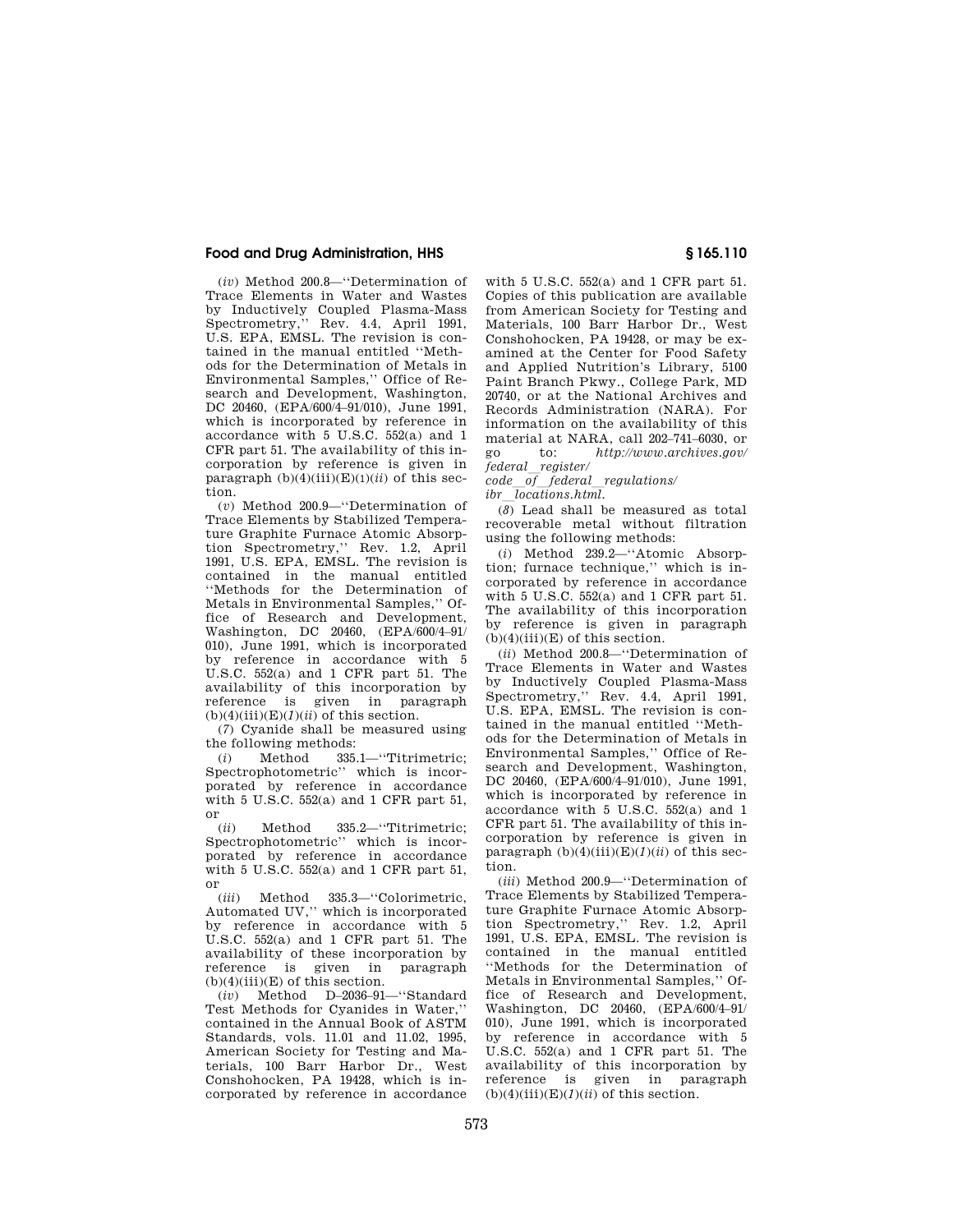(*iv*) Method 200.8—''Determination of Trace Elements in Water and Wastes by Inductively Coupled Plasma-Mass Spectrometry," Rev. 4.4, April 1991, U.S. EPA, EMSL. The revision is contained in the manual entitled ''Methods for the Determination of Metals in Environmental Samples,'' Office of Research and Development, Washington, DC 20460, (EPA/600/4–91/010), June 1991, which is incorporated by reference in accordance with 5 U.S.C. 552(a) and 1 CFR part 51. The availability of this incorporation by reference is given in paragraph  $(b)(4)(iii)(E)(1)(ii)$  of this section.

(*v*) Method 200.9—''Determination of Trace Elements by Stabilized Temperature Graphite Furnace Atomic Absorption Spectrometry,'' Rev. 1.2, April 1991, U.S. EPA, EMSL. The revision is contained in the manual entitled ''Methods for the Determination of Metals in Environmental Samples,'' Office of Research and Development, Washington, DC 20460, (EPA/600/4–91/ 010), June 1991, which is incorporated by reference in accordance with 5 U.S.C. 552(a) and 1 CFR part 51. The availability of this incorporation by reference is given in paragraph  $(b)(4)(iii)(E)(*i*)(ii)$  of this section.

(*7*) Cyanide shall be measured using the following methods:

(*i*) Method 335.1—''Titrimetric; Spectrophotometric'' which is incorporated by reference in accordance with 5 U.S.C. 552(a) and 1 CFR part 51, or<br> $(iii)$ 

(*ii*) Method 335.2—''Titrimetric; Spectrophotometric'' which is incorporated by reference in accordance with 5 U.S.C. 552(a) and 1 CFR part 51, or

(*iii*) Method 335.3—''Colorimetric, Automated UV,'' which is incorporated by reference in accordance with 5 U.S.C. 552(a) and 1 CFR part 51. The availability of these incorporation by reference is given in paragraph  $(b)(4)(iii)(E)$  of this section.

(*iv*) Method D–2036–91—''Standard Test Methods for Cyanides in Water,'' contained in the Annual Book of ASTM Standards, vols. 11.01 and 11.02, 1995, American Society for Testing and Materials, 100 Barr Harbor Dr., West Conshohocken, PA 19428, which is incorporated by reference in accordance with 5 U.S.C. 552(a) and 1 CFR part 51. Copies of this publication are available from American Society for Testing and Materials, 100 Barr Harbor Dr., West Conshohocken, PA 19428, or may be examined at the Center for Food Safety and Applied Nutrition's Library, 5100 Paint Branch Pkwy., College Park, MD 20740, or at the National Archives and Records Administration (NARA). For information on the availability of this material at NARA, call 202–741–6030, or go to: *http://www.archives.gov/*   $federal\_register/$ 

*code*l*of*l*federal*l*regulations/ ibr locations.html.* 

(*8*) Lead shall be measured as total recoverable metal without filtration using the following methods:

(*i*) Method 239.2—''Atomic Absorption; furnace technique,'' which is incorporated by reference in accordance with 5 U.S.C. 552(a) and 1 CFR part 51. The availability of this incorporation by reference is given in paragraph  $(b)(4)(iii)(E)$  of this section.

(*ii*) Method 200.8—''Determination of Trace Elements in Water and Wastes by Inductively Coupled Plasma-Mass Spectrometry,'' Rev. 4.4, April 1991, U.S. EPA, EMSL. The revision is contained in the manual entitled ''Methods for the Determination of Metals in Environmental Samples,'' Office of Research and Development, Washington, DC 20460, (EPA/600/4–91/010), June 1991, which is incorporated by reference in accordance with 5 U.S.C. 552(a) and 1 CFR part 51. The availability of this incorporation by reference is given in paragraph  $(b)(4)(iii)(E)(I)(ii)$  of this section.

(*iii*) Method 200.9—''Determination of Trace Elements by Stabilized Temperature Graphite Furnace Atomic Absorption Spectrometry,'' Rev. 1.2, April 1991, U.S. EPA, EMSL. The revision is contained in the manual entitled ''Methods for the Determination of Metals in Environmental Samples,'' Office of Research and Development, Washington, DC 20460, (EPA/600/4–91/ 010), June 1991, which is incorporated by reference in accordance with 5 U.S.C. 552(a) and 1 CFR part 51. The availability of this incorporation by reference is given in paragraph  $(b)(4)(iii)(E)(1)(ii)$  of this section.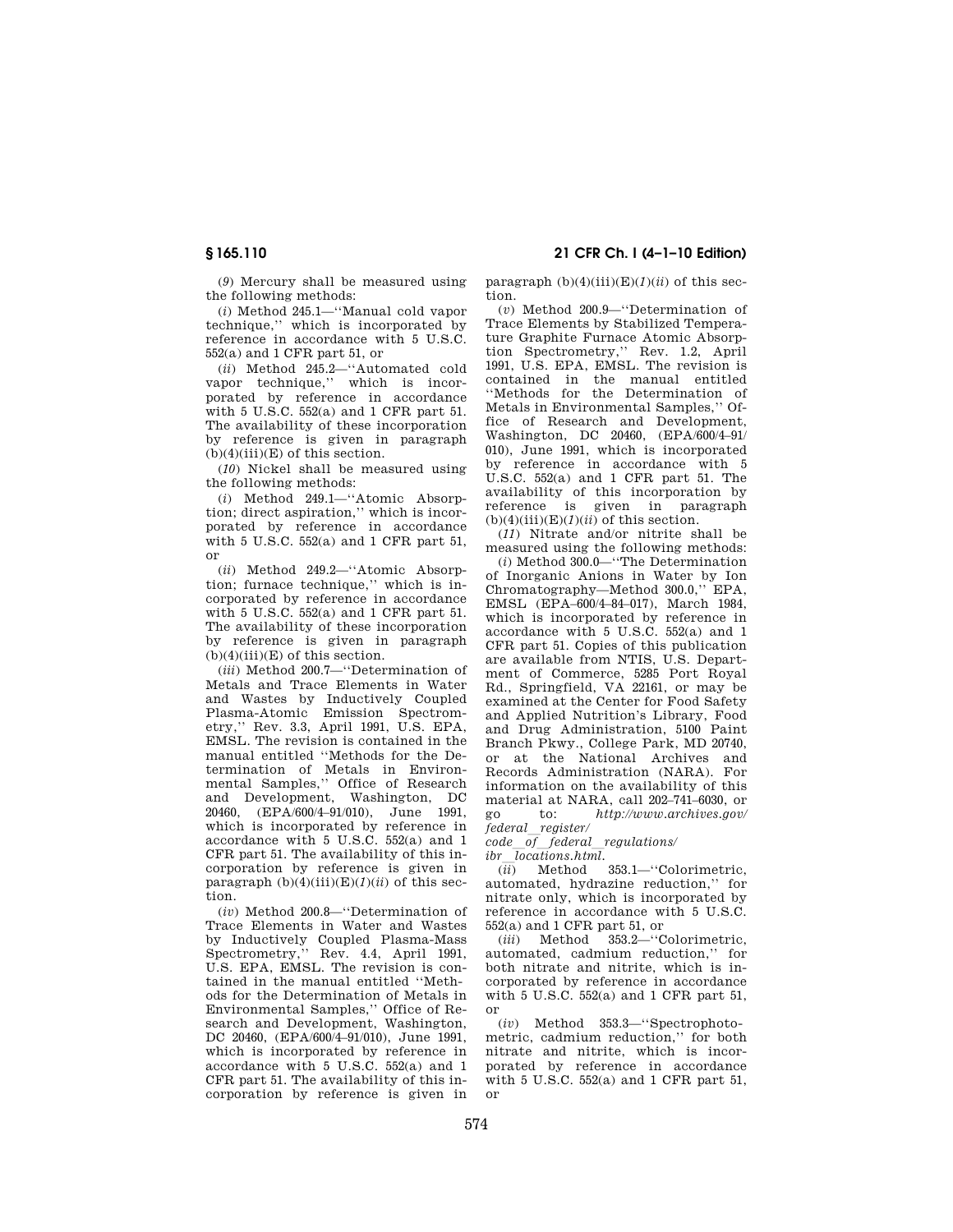**§ 165.110 21 CFR Ch. I (4–1–10 Edition)** 

(*9*) Mercury shall be measured using the following methods:

(*i*) Method 245.1—''Manual cold vapor technique,'' which is incorporated by reference in accordance with 5 U.S.C. 552(a) and 1 CFR part 51, or

(*ii*) Method 245.2—''Automated cold vapor technique,'' which is incorporated by reference in accordance with 5 U.S.C. 552(a) and 1 CFR part 51. The availability of these incorporation by reference is given in paragraph  $(b)(4)(iii)(E)$  of this section.

(*10*) Nickel shall be measured using the following methods:

(*i*) Method 249.1—''Atomic Absorption; direct aspiration,'' which is incorporated by reference in accordance with 5 U.S.C. 552(a) and 1 CFR part 51, or

(*ii*) Method 249.2—''Atomic Absorption; furnace technique,'' which is incorporated by reference in accordance with 5 U.S.C. 552(a) and 1 CFR part 51. The availability of these incorporation by reference is given in paragraph  $(b)(4)(iii)(E)$  of this section.

(*iii*) Method 200.7—''Determination of Metals and Trace Elements in Water and Wastes by Inductively Coupled Plasma-Atomic Emission Spectrometry,'' Rev. 3.3, April 1991, U.S. EPA, EMSL. The revision is contained in the manual entitled ''Methods for the Determination of Metals in Environmental Samples,'' Office of Research and Development, Washington, DC 20460, (EPA/600/4–91/010), June 1991, which is incorporated by reference in accordance with 5 U.S.C. 552(a) and 1 CFR part 51. The availability of this incorporation by reference is given in paragraph  $(b)(4)(iii)(E)(1)(ii)$  of this section.

(*iv*) Method 200.8—''Determination of Trace Elements in Water and Wastes by Inductively Coupled Plasma-Mass Spectrometry,'' Rev. 4.4, April 1991, U.S. EPA, EMSL. The revision is contained in the manual entitled ''Methods for the Determination of Metals in Environmental Samples,'' Office of Research and Development, Washington, DC 20460, (EPA/600/4–91/010), June 1991, which is incorporated by reference in accordance with 5 U.S.C. 552(a) and 1 CFR part 51. The availability of this incorporation by reference is given in

paragraph  $(b)(4)(iii)(E)(I)(ii)$  of this section.

(*v*) Method 200.9—''Determination of Trace Elements by Stabilized Temperature Graphite Furnace Atomic Absorption Spectrometry,'' Rev. 1.2, April 1991, U.S. EPA, EMSL. The revision is contained in the manual entitled ''Methods for the Determination of Metals in Environmental Samples,'' Office of Research and Development, Washington, DC 20460, (EPA/600/4–91/ 010), June 1991, which is incorporated by reference in accordance with 5 U.S.C. 552(a) and 1 CFR part 51. The availability of this incorporation by reference is given in paragraph  $(b)(4)(iii)(E)(1)(ii)$  of this section.

(*11*) Nitrate and/or nitrite shall be measured using the following methods:

(*i*) Method 300.0—''The Determination of Inorganic Anions in Water by Ion Chromatography—Method 300.0,'' EPA, EMSL (EPA–600/4–84–017), March 1984, which is incorporated by reference in accordance with 5 U.S.C. 552(a) and 1 CFR part 51. Copies of this publication are available from NTIS, U.S. Department of Commerce, 5285 Port Royal Rd., Springfield, VA 22161, or may be examined at the Center for Food Safety and Applied Nutrition's Library, Food and Drug Administration, 5100 Paint Branch Pkwy., College Park, MD 20740, or at the National Archives and Records Administration (NARA). For information on the availability of this material at NARA, call 202–741–6030, or<br>go to: http://www.archives.gov/ go to: *http://www.archives.gov/ federal*l*register/* 

*code*<sup>*of*</sup>\_federal\_regulations/<br>ibr locations html

*ibr*l*locations.html.*  (*ii*) Method 353.1—''Colorimetric, automated, hydrazine reduction,'' for nitrate only, which is incorporated by reference in accordance with 5 U.S.C. 552(a) and 1 CFR part 51, or

(*iii*) Method 353.2—''Colorimetric, automated, cadmium reduction,'' for both nitrate and nitrite, which is incorporated by reference in accordance with 5 U.S.C. 552(a) and 1 CFR part 51, or

(*iv*) Method 353.3—''Spectrophotometric, cadmium reduction,'' for both nitrate and nitrite, which is incorporated by reference in accordance with 5 U.S.C. 552(a) and 1 CFR part 51, or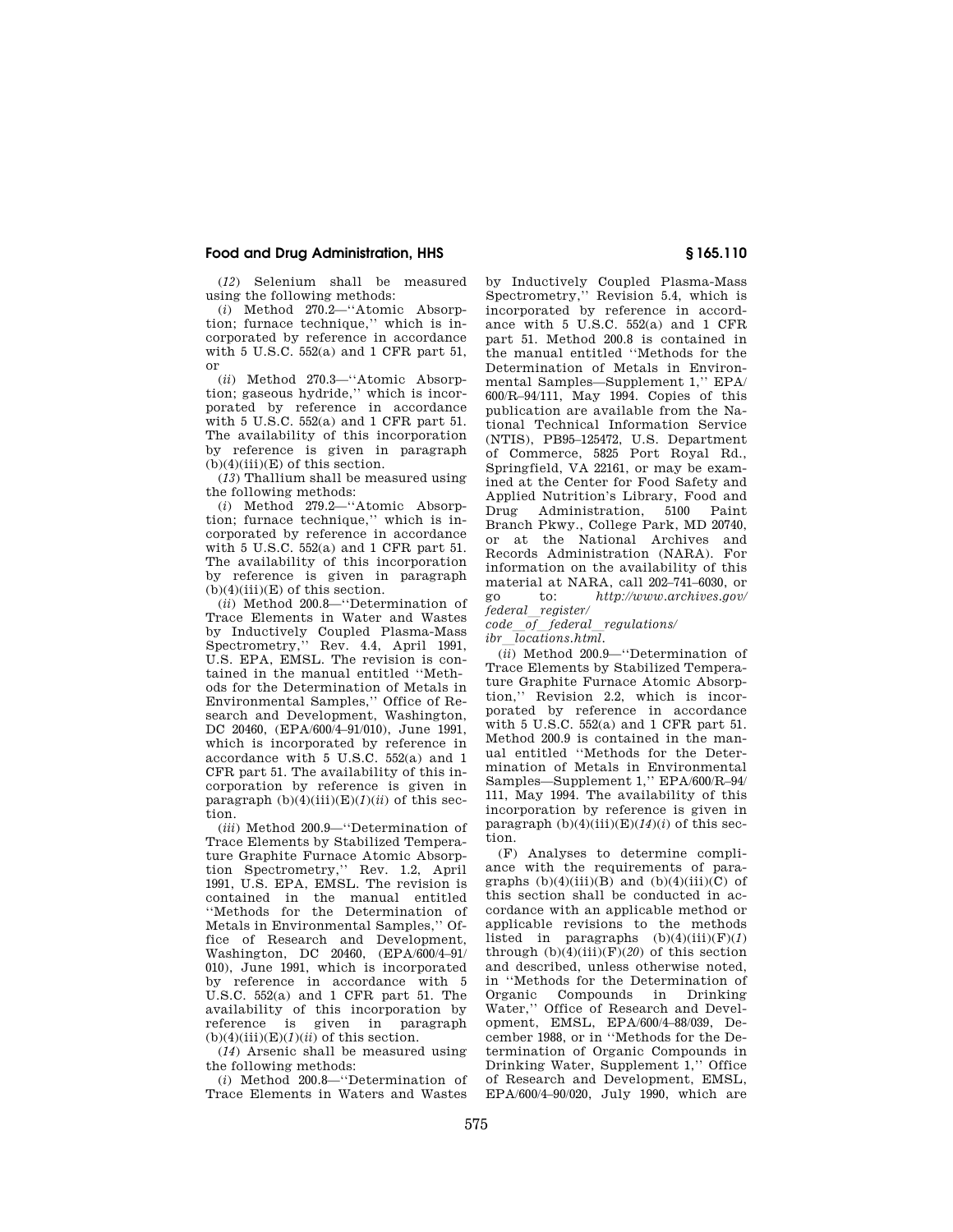(*12*) Selenium shall be measured using the following methods:

(*i*) Method 270.2—''Atomic Absorption; furnace technique,'' which is incorporated by reference in accordance with 5 U.S.C. 552(a) and 1 CFR part 51, or

(*ii*) Method 270.3—''Atomic Absorption; gaseous hydride,'' which is incorporated by reference in accordance with 5 U.S.C. 552(a) and 1 CFR part 51. The availability of this incorporation by reference is given in paragraph  $(b)(4)(iii)(E)$  of this section.

(*13*) Thallium shall be measured using the following methods:

(*i*) Method 279.2—''Atomic Absorption; furnace technique,'' which is incorporated by reference in accordance with 5 U.S.C. 552(a) and 1 CFR part 51. The availability of this incorporation by reference is given in paragraph  $(b)(4)(iii)(E)$  of this section.

(*ii*) Method 200.8—''Determination of Trace Elements in Water and Wastes by Inductively Coupled Plasma-Mass Spectrometry,'' Rev. 4.4, April 1991, U.S. EPA, EMSL. The revision is contained in the manual entitled ''Methods for the Determination of Metals in Environmental Samples,'' Office of Research and Development, Washington, DC 20460, (EPA/600/4–91/010), June 1991, which is incorporated by reference in accordance with 5 U.S.C. 552(a) and 1 CFR part 51. The availability of this incorporation by reference is given in paragraph  $(b)(4)(iii)(E)(I)(ii)$  of this section.

(*iii*) Method 200.9—''Determination of Trace Elements by Stabilized Temperature Graphite Furnace Atomic Absorption Spectrometry,'' Rev. 1.2, April 1991, U.S. EPA, EMSL. The revision is contained in the manual entitled ''Methods for the Determination of Metals in Environmental Samples,'' Office of Research and Development, Washington, DC 20460, (EPA/600/4–91/ 010), June 1991, which is incorporated by reference in accordance with 5 U.S.C. 552(a) and 1 CFR part 51. The availability of this incorporation by reference is given in paragraph  $(b)(4)(iii)(E)(1)(ii)$  of this section.

(*14*) Arsenic shall be measured using the following methods:

(*i*) Method 200.8—''Determination of Trace Elements in Waters and Wastes by Inductively Coupled Plasma-Mass Spectrometry,'' Revision 5.4, which is incorporated by reference in accordance with 5 U.S.C. 552(a) and 1 CFR part 51. Method 200.8 is contained in the manual entitled ''Methods for the Determination of Metals in Environmental Samples—Supplement 1,'' EPA/ 600/R–94/111, May 1994. Copies of this publication are available from the National Technical Information Service (NTIS), PB95–125472, U.S. Department of Commerce, 5825 Port Royal Rd., Springfield, VA 22161, or may be examined at the Center for Food Safety and Applied Nutrition's Library, Food and Drug Administration, 5100 Paint Branch Pkwy., College Park, MD 20740, or at the National Archives and Records Administration (NARA). For information on the availability of this material at NARA, call 202–741–6030, or go to: *http://www.archives.gov/ federal*l*register/* 

*code*l*of*l*federal*l*regulations/* 

*ibr*l*locations.html*.

(*ii*) Method 200.9—''Determination of Trace Elements by Stabilized Temperature Graphite Furnace Atomic Absorption,'' Revision 2.2, which is incorporated by reference in accordance with 5 U.S.C. 552(a) and 1 CFR part 51. Method 200.9 is contained in the manual entitled ''Methods for the Determination of Metals in Environmental Samples—Supplement 1,'' EPA/600/R–94/ 111, May 1994. The availability of this incorporation by reference is given in paragraph  $(b)(4)(iii)(E)(14)(i)$  of this section.

(F) Analyses to determine compliance with the requirements of paragraphs  $(b)(4)(iii)(B)$  and  $(b)(4)(iii)(C)$  of this section shall be conducted in accordance with an applicable method or applicable revisions to the methods listed in paragraphs (b)(4)(iii)(F)(*1*) through  $(b)(4)(iii)(F)(20)$  of this section and described, unless otherwise noted, in ''Methods for the Determination of Organic Compounds in Drinking Water,'' Office of Research and Development, EMSL, EPA/600/4–88/039, December 1988, or in ''Methods for the Determination of Organic Compounds in Drinking Water, Supplement 1,'' Office of Research and Development, EMSL, EPA/600/4–90/020, July 1990, which are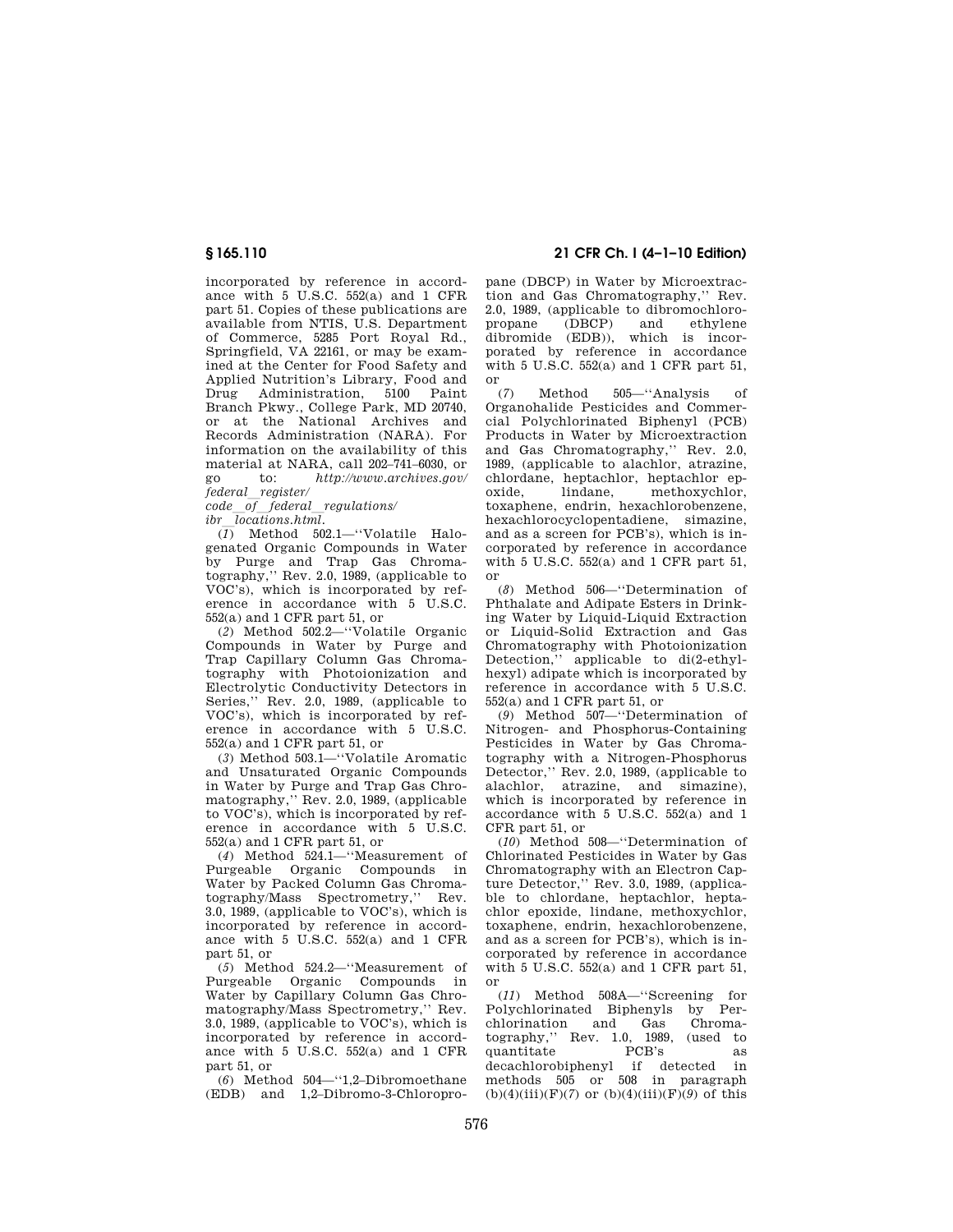incorporated by reference in accordance with 5 U.S.C. 552(a) and 1 CFR part 51. Copies of these publications are available from NTIS, U.S. Department of Commerce, 5285 Port Royal Rd., Springfield, VA 22161, or may be examined at the Center for Food Safety and Applied Nutrition's Library, Food and Drug Administration, 5100 Paint Branch Pkwy., College Park, MD 20740, or at the National Archives and Records Administration (NARA). For information on the availability of this material at NARA, call 202–741–6030, or go to: *http://www.archives.gov/* 

*federal*l*register/ code*l*of*l*federal*l*regulations/* 

*ibr*l*locations.html.* 

 $(\overline{I})$  Method 502.1—"Volatile Halogenated Organic Compounds in Water by Purge and Trap Gas Chromatography,'' Rev. 2.0, 1989, (applicable to VOC's), which is incorporated by reference in accordance with 5 U.S.C. 552(a) and 1 CFR part 51, or

(*2*) Method 502.2—''Volatile Organic Compounds in Water by Purge and Trap Capillary Column Gas Chromatography with Photoionization and Electrolytic Conductivity Detectors in Series,'' Rev. 2.0, 1989, (applicable to VOC's), which is incorporated by reference in accordance with 5 U.S.C. 552(a) and 1 CFR part 51, or

(*3*) Method 503.1—''Volatile Aromatic and Unsaturated Organic Compounds in Water by Purge and Trap Gas Chromatography,'' Rev. 2.0, 1989, (applicable to VOC's), which is incorporated by reference in accordance with 5 U.S.C. 552(a) and 1 CFR part 51, or

(*4*) Method 524.1—''Measurement of Purgeable Organic Compounds in Water by Packed Column Gas Chromatography/Mass Spectrometry,'' Rev. 3.0, 1989, (applicable to VOC's), which is incorporated by reference in accordance with 5 U.S.C. 552(a) and 1 CFR part 51, or

(*5*) Method 524.2—''Measurement of Purgeable Organic Compounds in Water by Capillary Column Gas Chromatography/Mass Spectrometry,'' Rev. 3.0, 1989, (applicable to VOC's), which is incorporated by reference in accordance with 5 U.S.C.  $552(a)$  and 1 CFR part 51, or

(*6*) Method 504—''1,2–Dibromoethane (EDB) and 1,2–Dibromo-3-Chloropro-

# **§ 165.110 21 CFR Ch. I (4–1–10 Edition)**

pane (DBCP) in Water by Microextraction and Gas Chromatography,'' Rev. 2.0, 1989, (applicable to dibromochloro-<br>propane (DBCP) and ethylene ethylene dibromide (EDB)), which is incorporated by reference in accordance with  $5 \text{ U.S.C. } 552(a)$  and  $1 \text{ CFR part } 51$ , or

(7) Method 505—"Analysis Organohalide Pesticides and Commercial Polychlorinated Biphenyl (PCB) Products in Water by Microextraction and Gas Chromatography,'' Rev. 2.0, 1989, (applicable to alachlor, atrazine, chlordane, heptachlor, heptachlor epoxide, lindane, methoxychlor, toxaphene, endrin, hexachlorobenzene, hexachlorocyclopentadiene, simazine, and as a screen for PCB's), which is incorporated by reference in accordance with 5 U.S.C. 552(a) and 1 CFR part 51, or

(*8*) Method 506—''Determination of Phthalate and Adipate Esters in Drinking Water by Liquid-Liquid Extraction or Liquid-Solid Extraction and Gas Chromatography with Photoionization Detection,'' applicable to di(2-ethylhexyl) adipate which is incorporated by reference in accordance with 5 U.S.C. 552(a) and 1 CFR part 51, or

(*9*) Method 507—''Determination of Nitrogen- and Phosphorus-Containing Pesticides in Water by Gas Chromatography with a Nitrogen-Phosphorus Detector,'' Rev. 2.0, 1989, (applicable to alachlor, atrazine, and simazine). which is incorporated by reference in accordance with 5 U.S.C. 552(a) and 1 CFR part 51, or

(*10*) Method 508—''Determination of Chlorinated Pesticides in Water by Gas Chromatography with an Electron Capture Detector,'' Rev. 3.0, 1989, (applicable to chlordane, heptachlor, heptachlor epoxide, lindane, methoxychlor, toxaphene endrin hexachlorobenzene and as a screen for PCB's), which is incorporated by reference in accordance with 5 U.S.C. 552(a) and 1 CFR part 51, or

(*11*) Method 508A—''Screening for Polychlorinated Biphenyls by Perchlorination and tography," Rev. 1.0, 1989, (used to quantitate PCB's as quantitate decachlorobiphenyl if detected in methods 505 or 508 in paragraph  $(b)(4)(iii)(F)(7)$  or  $(b)(4)(iii)(F)(9)$  of this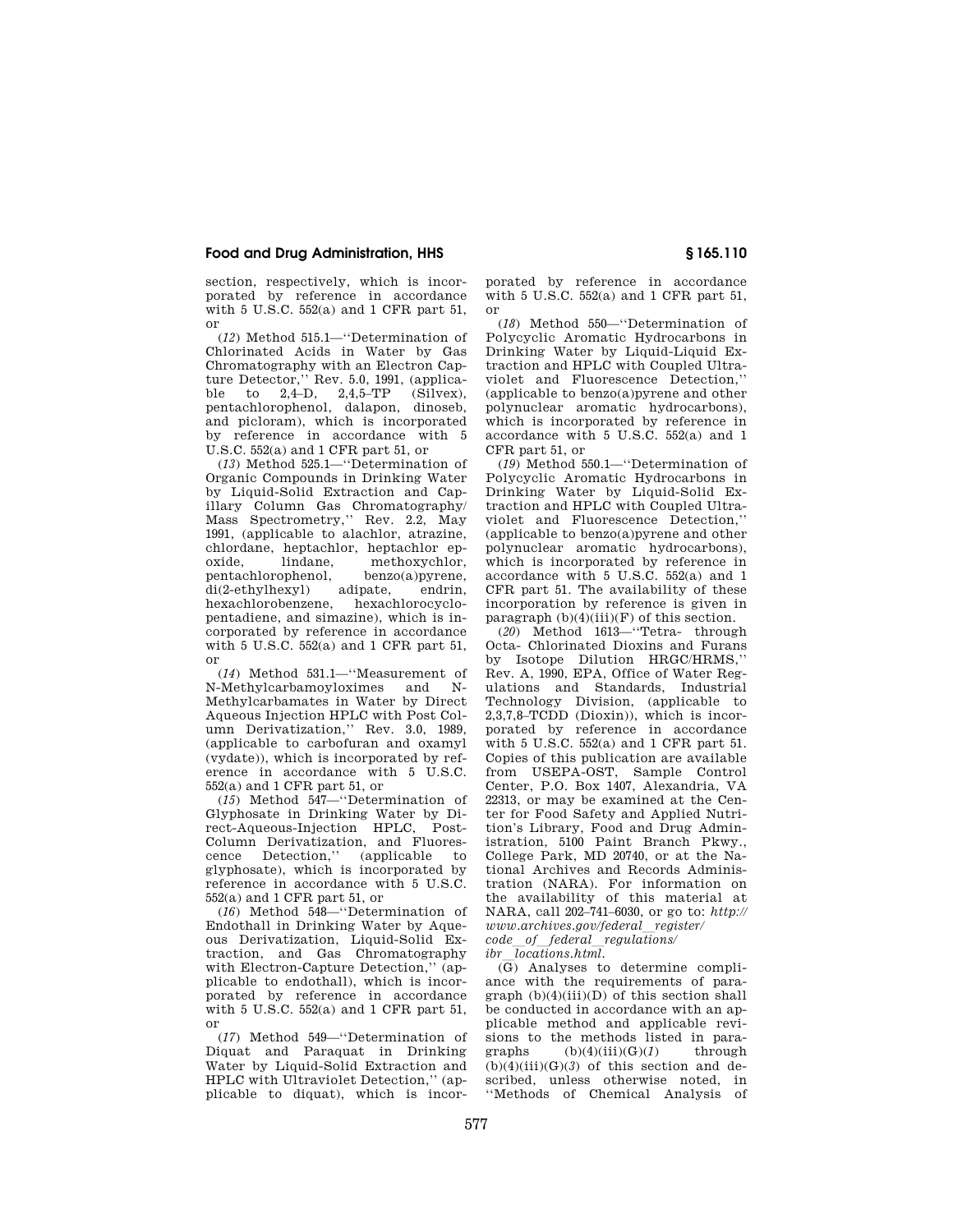section, respectively, which is incorporated by reference in accordance with  $5 \text{ U.S.C. } 552(a)$  and  $1 \text{ CFR part } 51$ , or

(*12*) Method 515.1—''Determination of Chlorinated Acids in Water by Gas Chromatography with an Electron Capture Detector,'' Rev. 5.0, 1991, (applicable to 2,4–D, 2,4,5–TP (Silvex), pentachlorophenol, dalapon, dinoseb, and picloram), which is incorporated by reference in accordance with 5 U.S.C. 552(a) and 1 CFR part 51, or

(*13*) Method 525.1—''Determination of Organic Compounds in Drinking Water by Liquid-Solid Extraction and Capillary Column Gas Chromatography/ Mass Spectrometry," Rev. 2.2, May 1991, (applicable to alachlor, atrazine, chlordane, heptachlor, heptachlor ep-<br>
oxide, lindane, methoxychlor,  $methoxychlor,$ <br>benzo $(a)pyrene,$ pentachlorophenol, benzo<br>di(2-ethylhexyl) adipate, di(2-ethylhexyl) adipate, endrin, hexachlorobenzene, hexachlorocyclopentadiene, and simazine), which is incorporated by reference in accordance with 5 U.S.C. 552(a) and 1 CFR part 51, or

(*14*) Method 531.1—''Measurement of N-Methylcarbamoyloximes and N-Methylcarbamates in Water by Direct Aqueous Injection HPLC with Post Column Derivatization,'' Rev. 3.0, 1989, (applicable to carbofuran and oxamyl (vydate)), which is incorporated by reference in accordance with 5 U.S.C. 552(a) and 1 CFR part 51, or

(*15*) Method 547—''Determination of Glyphosate in Drinking Water by Direct-Aqueous-Injection HPLC, Post-Column Derivatization, and Fluores-<br>cence Detection," (applicable to cence Detection,'' (applicable to glyphosate), which is incorporated by reference in accordance with 5 U.S.C. 552(a) and 1 CFR part 51, or

(*16*) Method 548—''Determination of Endothall in Drinking Water by Aqueous Derivatization, Liquid-Solid Extraction, and Gas Chromatography with Electron-Capture Detection,'' (applicable to endothall), which is incorporated by reference in accordance with 5 U.S.C. 552(a) and 1 CFR part 51, or

(*17*) Method 549—''Determination of Diquat and Paraquat in Drinking Water by Liquid-Solid Extraction and HPLC with Ultraviolet Detection,'' (applicable to diquat), which is incor-

porated by reference in accordance with 5 U.S.C. 552(a) and 1 CFR part 51, or

(*18*) Method 550—''Determination of Polycyclic Aromatic Hydrocarbons in Drinking Water by Liquid-Liquid Extraction and HPLC with Coupled Ultraviolet and Fluorescence Detection,'' (applicable to benzo(a)pyrene and other polynuclear aromatic hydrocarbons), which is incorporated by reference in accordance with 5 U.S.C. 552(a) and 1 CFR part 51, or

(*19*) Method 550.1—''Determination of Polycyclic Aromatic Hydrocarbons in Drinking Water by Liquid-Solid Extraction and HPLC with Coupled Ultraviolet and Fluorescence Detection,'' (applicable to benzo(a)pyrene and other polynuclear aromatic hydrocarbons), which is incorporated by reference in accordance with 5 U.S.C. 552(a) and 1 CFR part 51. The availability of these incorporation by reference is given in paragraph  $(b)(4)(iii)(F)$  of this section.

(*20*) Method 1613—''Tetra- through Octa- Chlorinated Dioxins and Furans by Isotope Dilution HRGC/HRMS,'' Rev. A, 1990, EPA, Office of Water Regulations and Standards, Industrial Technology Division, (applicable to 2,3,7,8–TCDD (Dioxin)), which is incorporated by reference in accordance with  $5 \text{ U.S.C. } 552(a)$  and  $1 \text{ CFR part } 51$ . Copies of this publication are available from USEPA-OST, Sample Control Center, P.O. Box 1407, Alexandria, VA 22313, or may be examined at the Center for Food Safety and Applied Nutrition's Library, Food and Drug Administration, 5100 Paint Branch Pkwy., College Park, MD 20740, or at the National Archives and Records Administration (NARA). For information on the availability of this material at NARA, call 202–741–6030, or go to: *http:// www.archives.gov/federal*l*register/ code*l*of*l*federal*l*regulations/* 

*ibr*l*locations.html.* 

(G) Analyses to determine compliance with the requirements of para $graph (b)(4)(iii)(D)$  of this section shall be conducted in accordance with an applicable method and applicable revisions to the methods listed in para-<br>graphs  $(b)(4)(iii)(G)(1)$  through  $(b)(4)(iii)(G)(I)$  $(h)(4)(iii)(G)(3)$  of this section and described, unless otherwise noted, in ''Methods of Chemical Analysis of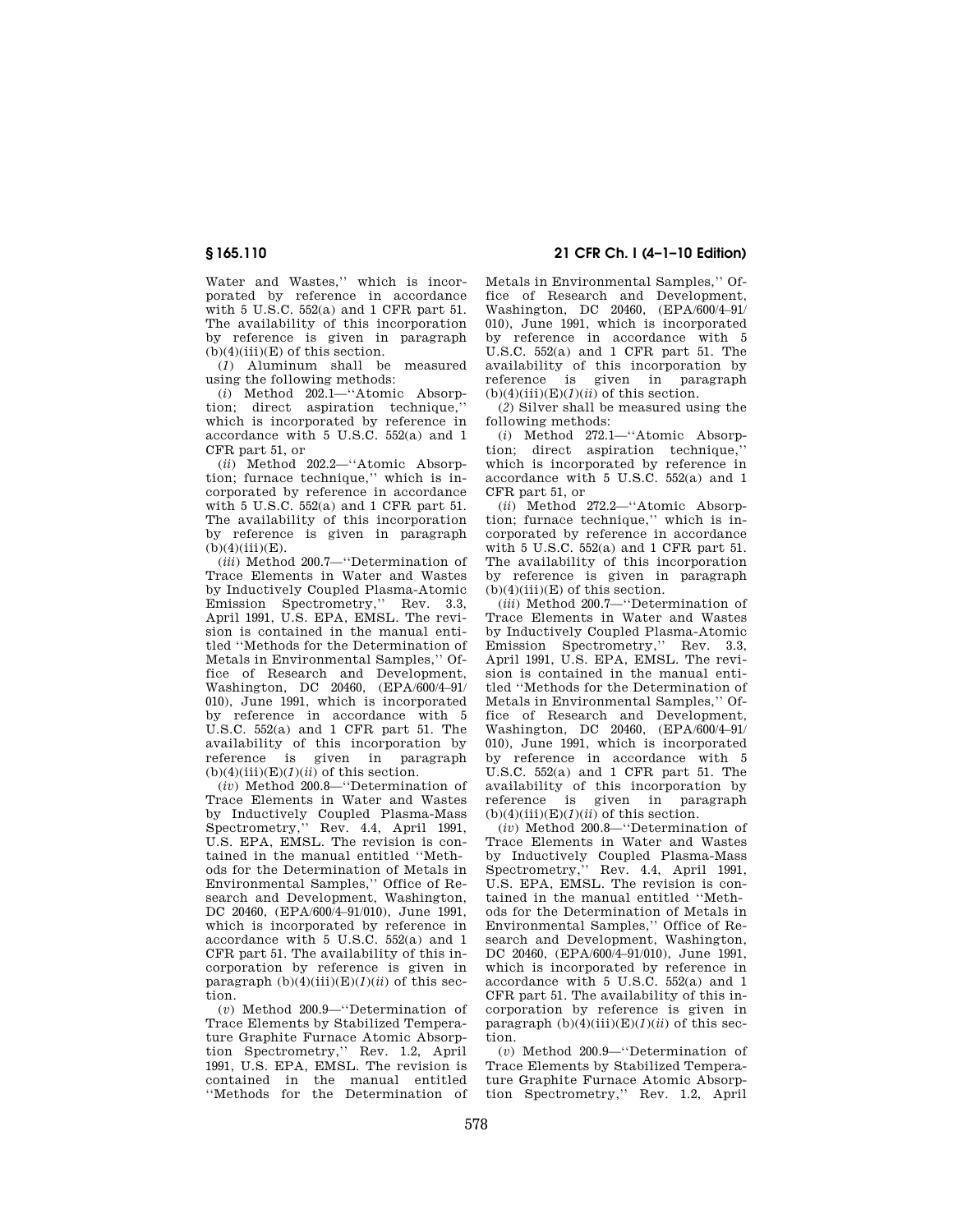Water and Wastes,'' which is incorporated by reference in accordance with  $5 \text{ U.S.C. } 552(a)$  and  $1 \text{ CFR part } 51$ . The availability of this incorporation by reference is given in paragraph  $(b)(4)(iii)(E)$  of this section.

(*1*) Aluminum shall be measured using the following methods:

(*i*) Method 202.1—''Atomic Absorption; direct aspiration technique,'' which is incorporated by reference in accordance with 5 U.S.C. 552(a) and 1 CFR part 51, or

(*ii*) Method 202.2—''Atomic Absorption; furnace technique,'' which is incorporated by reference in accordance with 5 U.S.C. 552(a) and 1 CFR part 51. The availability of this incorporation by reference is given in paragraph  $(h)(4)(iii)(E)$ .

(*iii*) Method 200.7—''Determination of Trace Elements in Water and Wastes by Inductively Coupled Plasma-Atomic Emission Spectrometry," Rev. 3.3, April 1991, U.S. EPA, EMSL. The revision is contained in the manual entitled ''Methods for the Determination of Metals in Environmental Samples,'' Office of Research and Development, Washington, DC 20460, (EPA/600/4–91/ 010), June 1991, which is incorporated by reference in accordance with 5 U.S.C. 552(a) and 1 CFR part 51. The availability of this incorporation by reference is given in paragraph  $(b)(4)(iii)(E)(I)(ii)$  of this section.

(*iv*) Method 200.8—''Determination of Trace Elements in Water and Wastes by Inductively Coupled Plasma-Mass Spectrometry,'' Rev. 4.4, April 1991, U.S. EPA, EMSL. The revision is contained in the manual entitled ''Methods for the Determination of Metals in Environmental Samples,'' Office of Research and Development, Washington, DC 20460, (EPA/600/4–91/010), June 1991, which is incorporated by reference in accordance with 5 U.S.C. 552(a) and 1 CFR part 51. The availability of this incorporation by reference is given in paragraph  $(b)(4)(iii)(E)(1)(ii)$  of this section.

(*v*) Method 200.9—''Determination of Trace Elements by Stabilized Temperature Graphite Furnace Atomic Absorption Spectrometry,'' Rev. 1.2, April 1991, U.S. EPA, EMSL. The revision is contained in the manual entitled ''Methods for the Determination of

**§ 165.110 21 CFR Ch. I (4–1–10 Edition)** 

Metals in Environmental Samples,'' Office of Research and Development, Washington, DC 20460, (EPA/600/4–91/ 010), June 1991, which is incorporated by reference in accordance with 5 U.S.C. 552(a) and 1 CFR part 51. The availability of this incorporation by reference is given in paragraph  $(b)(4)(iii)(E)(I)(ii)$  of this section.

(*2*) Silver shall be measured using the following methods:

(*i*) Method 272.1—''Atomic Absorption; direct aspiration technique,'' which is incorporated by reference in accordance with 5 U.S.C. 552(a) and 1 CFR part 51, or

(*ii*) Method 272.2—''Atomic Absorption; furnace technique,'' which is incorporated by reference in accordance with 5 U.S.C. 552(a) and 1 CFR part 51. The availability of this incorporation by reference is given in paragraph  $(b)(4)(iii)(E)$  of this section.

(*iii*) Method 200.7—''Determination of Trace Elements in Water and Wastes by Inductively Coupled Plasma-Atomic Emission Spectrometry,'' Rev. 3.3, April 1991, U.S. EPA, EMSL. The revision is contained in the manual entitled ''Methods for the Determination of Metals in Environmental Samples,'' Office of Research and Development, Washington, DC 20460, (EPA/600/4–91/ 010), June 1991, which is incorporated by reference in accordance with 5 U.S.C. 552(a) and 1 CFR part 51. The availability of this incorporation by reference is given in paragraph  $(b)(4)(iii)(E)(1)(ii)$  of this section.

(*iv*) Method 200.8—''Determination of Trace Elements in Water and Wastes by Inductively Coupled Plasma-Mass Spectrometry,'' Rev. 4.4, April 1991, U.S. EPA, EMSL. The revision is contained in the manual entitled ''Methods for the Determination of Metals in Environmental Samples,'' Office of Research and Development, Washington, DC 20460, (EPA/600/4–91/010), June 1991, which is incorporated by reference in accordance with 5 U.S.C. 552(a) and 1 CFR part 51. The availability of this incorporation by reference is given in paragraph  $(b)(4)(iii)(E)(1)(ii)$  of this section.

(*v*) Method 200.9—''Determination of Trace Elements by Stabilized Temperature Graphite Furnace Atomic Absorption Spectrometry,'' Rev. 1.2, April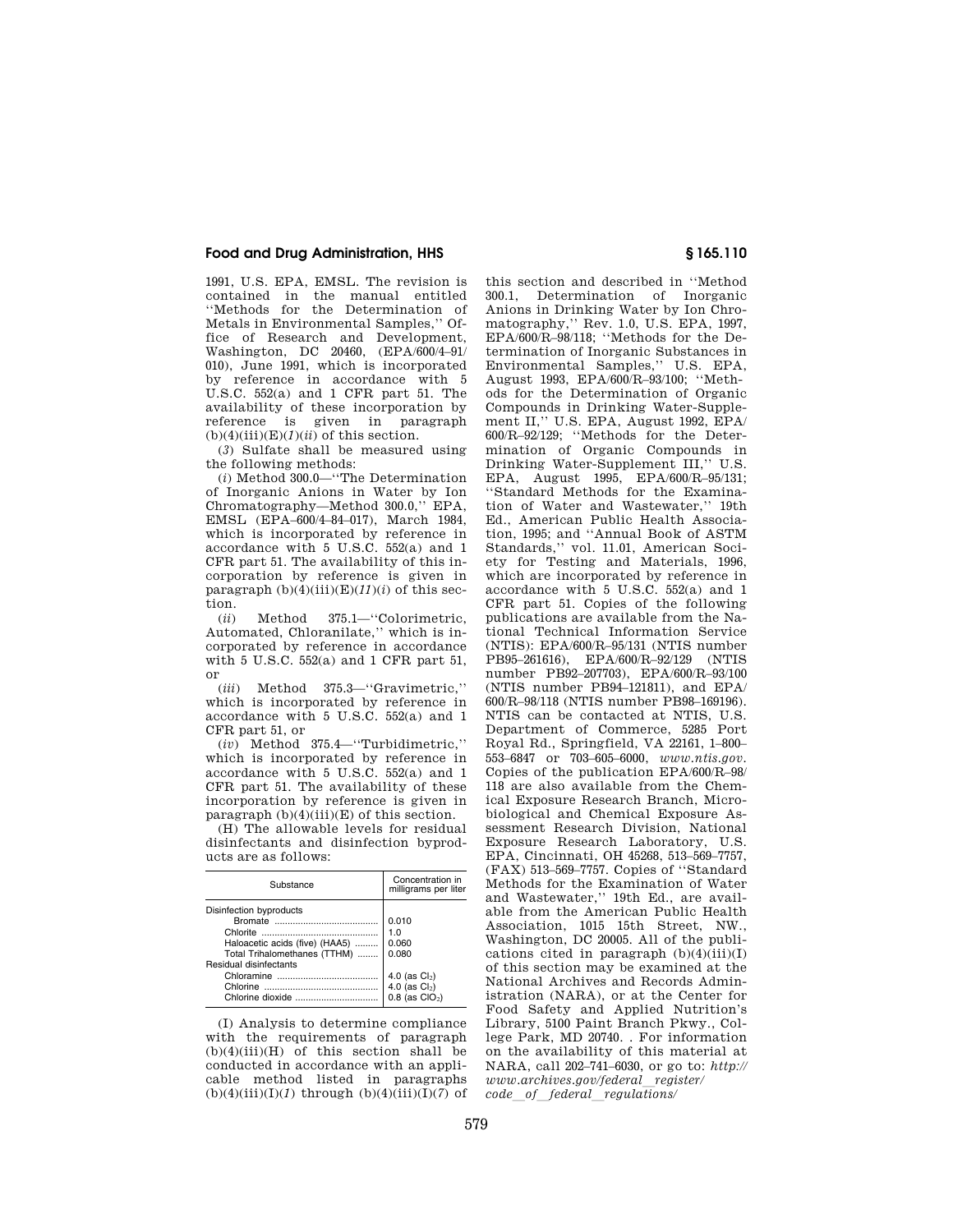1991, U.S. EPA, EMSL. The revision is contained in the manual entitled ''Methods for the Determination of Metals in Environmental Samples,'' Office of Research and Development, Washington, DC 20460, (EPA/600/4–91/ 010), June 1991, which is incorporated by reference in accordance with 5 U.S.C. 552(a) and 1 CFR part 51. The availability of these incorporation by reference is given in paragraph  $(b)(4)(iii)(E)(1)(ii)$  of this section.

(*3*) Sulfate shall be measured using the following methods:

(*i*) Method 300.0—''The Determination of Inorganic Anions in Water by Ion Chromatography—Method 300.0,'' EPA, EMSL (EPA–600/4–84–017), March 1984, which is incorporated by reference in accordance with 5 U.S.C. 552(a) and 1 CFR part 51. The availability of this incorporation by reference is given in paragraph  $(b)(4)(iii)(E)(11)(i)$  of this section.

(*ii*) Method 375.1—''Colorimetric, Automated, Chloranilate,'' which is incorporated by reference in accordance with 5 U.S.C. 552(a) and 1 CFR part 51, or

(*iii*) Method 375.3—''Gravimetric,'' which is incorporated by reference in accordance with 5 U.S.C. 552(a) and 1 CFR part 51, or

(*iv*) Method 375.4—''Turbidimetric,'' which is incorporated by reference in accordance with 5 U.S.C. 552(a) and 1 CFR part 51. The availability of these incorporation by reference is given in paragraph  $(b)(4)(iii)(E)$  of this section.

(H) The allowable levels for residual disinfectants and disinfection byproducts are as follows:

| Concentration in<br>milligrams per liter                             |
|----------------------------------------------------------------------|
| 0.010<br>10<br>0.060<br>0.080<br>4.0 (as $Cl2$ )<br>4.0 (as $Cl_2$ ) |
| $0.8$ (as $ClO2$ )                                                   |
|                                                                      |

(I) Analysis to determine compliance with the requirements of paragraph  $(b)(4)(iii)(H)$  of this section shall be conducted in accordance with an applicable method listed in paragraphs  $(b)(4)(iii)(I)(I)$  through  $(b)(4)(iii)(I)(7)$  of

this section and described in ''Method 300.1, Determination of Inorganic Anions in Drinking Water by Ion Chromatography,'' Rev. 1.0, U.S. EPA, 1997, EPA/600/R–98/118; ''Methods for the Determination of Inorganic Substances in Environmental Samples,'' U.S. EPA, August 1993, EPA/600/R–93/100; ''Methods for the Determination of Organic Compounds in Drinking Water-Supplement II,'' U.S. EPA, August 1992, EPA/ 600/R–92/129; ''Methods for the Determination of Organic Compounds in Drinking Water-Supplement III,'' U.S. EPA, August 1995, EPA/600/R–95/131; ''Standard Methods for the Examination of Water and Wastewater,'' 19th Ed., American Public Health Association, 1995; and ''Annual Book of ASTM Standards,'' vol. 11.01, American Society for Testing and Materials, 1996, which are incorporated by reference in accordance with 5 U.S.C. 552(a) and 1 CFR part 51. Copies of the following publications are available from the National Technical Information Service (NTIS): EPA/600/R–95/131 (NTIS number PB95–261616), EPA/600/R–92/129 (NTIS number PB92–207703), EPA/600/R–93/100 (NTIS number PB94–121811), and EPA/ 600/R–98/118 (NTIS number PB98–169196). NTIS can be contacted at NTIS, U.S. Department of Commerce, 5285 Port Royal Rd., Springfield, VA 22161, 1–800– 553–6847 or 703–605–6000, *www.ntis.gov.*  Copies of the publication EPA/600/R–98/ 118 are also available from the Chemical Exposure Research Branch, Microbiological and Chemical Exposure Assessment Research Division, National Exposure Research Laboratory, U.S. EPA, Cincinnati, OH 45268, 513–569–7757, (FAX) 513–569–7757. Copies of ''Standard Methods for the Examination of Water and Wastewater,'' 19th Ed., are available from the American Public Health Association, 1015 15th Street, NW., Washington, DC 20005. All of the publications cited in paragraph  $(b)(4)(iii)(I)$ of this section may be examined at the National Archives and Records Administration (NARA), or at the Center for Food Safety and Applied Nutrition's Library, 5100 Paint Branch Pkwy., Col-

*www.archives.gov/federal*l*register/ code*l*of*l*federal*l*regulations/* 

lege Park, MD 20740. . For information on the availability of this material at NARA, call 202–741–6030, or go to: *http://*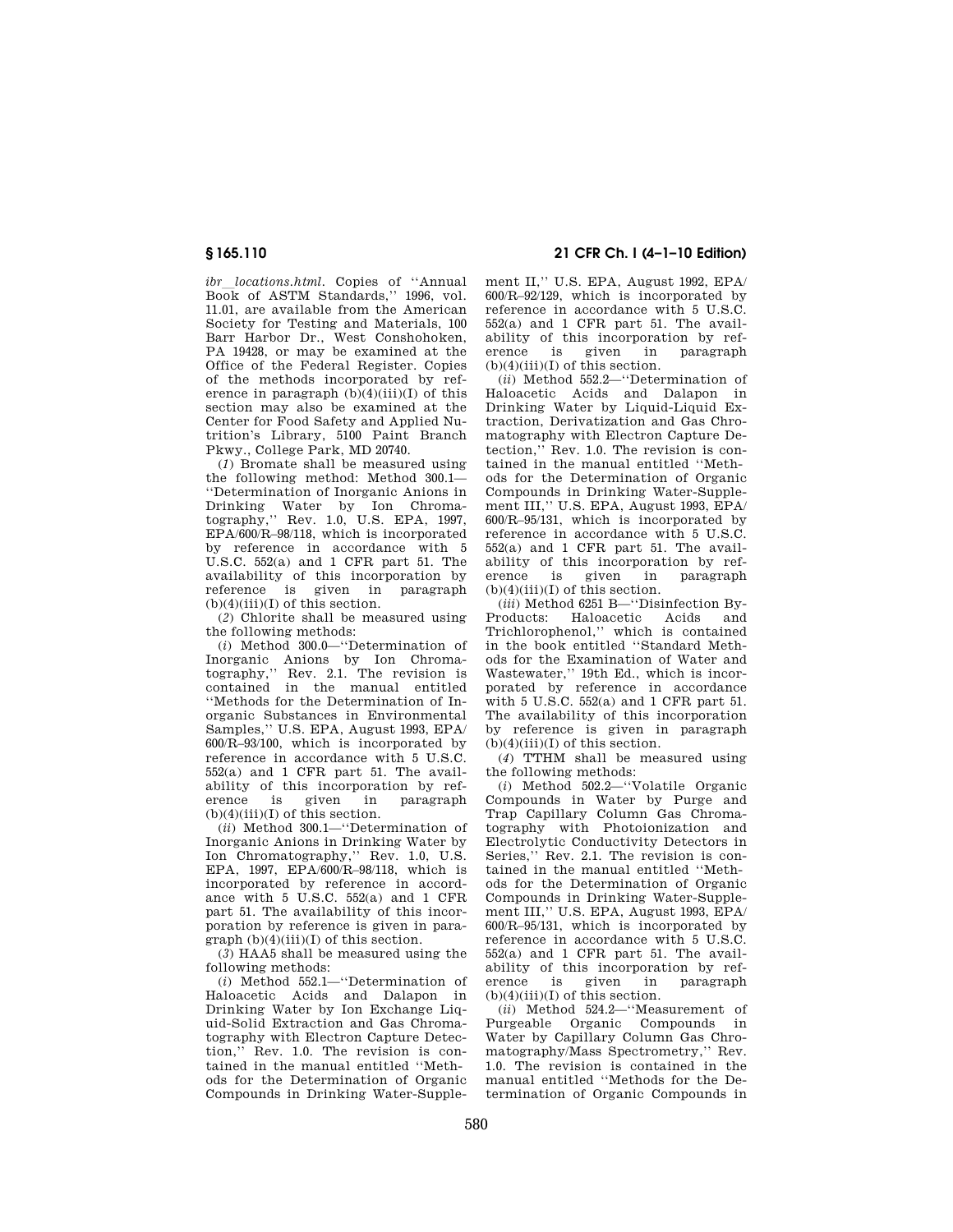# **§ 165.110 21 CFR Ch. I (4–1–10 Edition)**

*ibr*l*locations.html.* Copies of ''Annual Book of ASTM Standards,'' 1996, vol. 11.01, are available from the American Society for Testing and Materials, 100 Barr Harbor Dr., West Conshohoken, PA 19428, or may be examined at the Office of the Federal Register. Copies of the methods incorporated by reference in paragraph  $(b)(4)(iii)(I)$  of this section may also be examined at the Center for Food Safety and Applied Nutrition's Library, 5100 Paint Branch Pkwy., College Park, MD 20740.

(*1*) Bromate shall be measured using the following method: Method 300.1— ''Determination of Inorganic Anions in Drinking Water by Ion Chromatography,'' Rev. 1.0, U.S. EPA, 1997, EPA/600/R–98/118, which is incorporated by reference in accordance with 5 U.S.C. 552(a) and 1 CFR part 51. The availability of this incorporation by reference is given in paragraph  $(b)(4)(iii)(I)$  of this section.

(*2*) Chlorite shall be measured using the following methods:

(*i*) Method 300.0—''Determination of Inorganic Anions by Ion Chromatography,'' Rev. 2.1. The revision is cography, nev. 2.1. The revision is<br>contained in the manual entitled ''Methods for the Determination of Inorganic Substances in Environmental Samples,'' U.S. EPA, August 1993, EPA/ 600/R–93/100, which is incorporated by reference in accordance with 5 U.S.C. 552(a) and 1 CFR part 51. The availability of this incorporation by reference is given in paragraph  $(b)(4)(iii)(I)$  of this section.

(*ii*) Method 300.1—''Determination of Inorganic Anions in Drinking Water by Ion Chromatography,'' Rev. 1.0, U.S. EPA, 1997, EPA/600/R–98/118, which is incorporated by reference in accordance with 5 U.S.C.  $552(a)$  and 1 CFR part 51. The availability of this incorporation by reference is given in para $graph (b)(4)(iii)(I)$  of this section.

(*3*) HAA5 shall be measured using the following methods:

(*i*) Method 552.1—''Determination of Haloacetic Acids and Dalapon in Drinking Water by Ion Exchange Liquid-Solid Extraction and Gas Chromatography with Electron Capture Detection,'' Rev. 1.0. The revision is contained in the manual entitled ''Methods for the Determination of Organic Compounds in Drinking Water-Supplement II,'' U.S. EPA, August 1992, EPA/ 600/R–92/129, which is incorporated by reference in accordance with 5 U.S.C. 552(a) and 1 CFR part 51. The availability of this incorporation by reference is given in paragraph  $(b)(4)(iii)(I)$  of this section.

(*ii*) Method 552.2—''Determination of Haloacetic Acids and Dalapon in Drinking Water by Liquid-Liquid Extraction, Derivatization and Gas Chromatography with Electron Capture Detection,'' Rev. 1.0. The revision is contained in the manual entitled ''Methods for the Determination of Organic Compounds in Drinking Water-Supplement III,'' U.S. EPA, August 1993, EPA/ 600/R–95/131, which is incorporated by reference in accordance with 5 U.S.C. 552(a) and 1 CFR part 51. The availability of this incorporation by reference is given in paragraph is given  $(b)(4)(iii)(I)$  of this section.

(*iii*) Method 6251 B—"Disinfection By-<br>Products: Haloacetic Acids and Acids and Trichlorophenol,'' which is contained in the book entitled ''Standard Methods for the Examination of Water and Wastewater,'' 19th Ed., which is incorporated by reference in accordance with 5 U.S.C. 552(a) and 1 CFR part 51. The availability of this incorporation by reference is given in paragraph  $(b)(4)(iii)(I)$  of this section.

(*4*) TTHM shall be measured using the following methods:

(*i*) Method 502.2—''Volatile Organic Compounds in Water by Purge and Trap Capillary Column Gas Chromatography with Photoionization and Electrolytic Conductivity Detectors in Series,'' Rev. 2.1. The revision is contained in the manual entitled ''Methods for the Determination of Organic Compounds in Drinking Water-Supplement III,'' U.S. EPA, August 1993, EPA/ 600/R–95/131, which is incorporated by reference in accordance with 5 U.S.C. 552(a) and 1 CFR part 51. The availability of this incorporation by refis given in  $(b)(4)(iii)(I)$  of this section.

(*ii*) Method 524.2—''Measurement of Purgeable Organic Compounds in Water by Capillary Column Gas Chromatography/Mass Spectrometry,'' Rev. 1.0. The revision is contained in the manual entitled ''Methods for the Determination of Organic Compounds in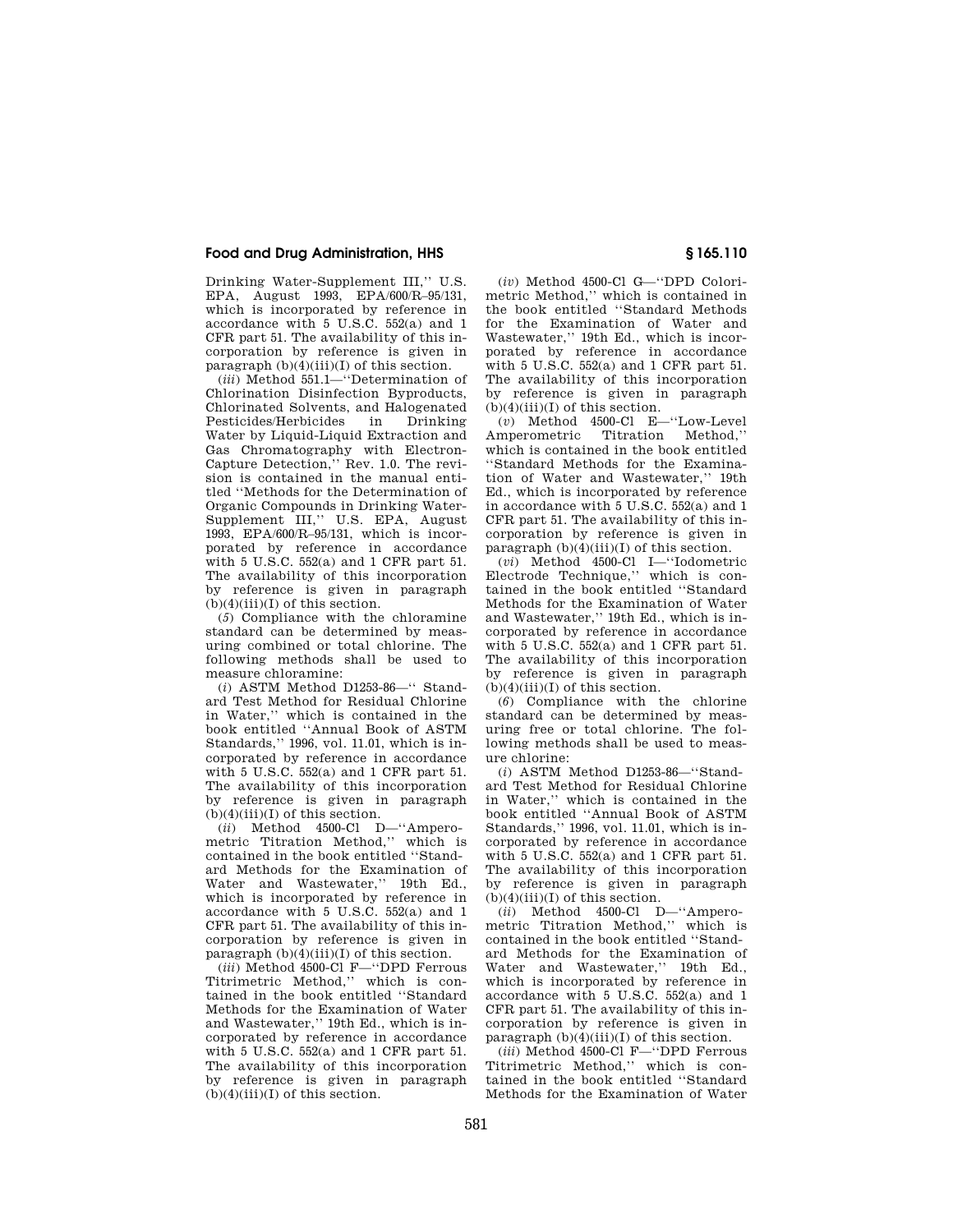Drinking Water-Supplement III,'' U.S. EPA, August 1993, EPA/600/R–95/131, which is incorporated by reference in accordance with 5 U.S.C. 552(a) and 1 CFR part 51. The availability of this incorporation by reference is given in paragraph  $(b)(4)(iii)(I)$  of this section.

(*iii*) Method 551.1—''Determination of Chlorination Disinfection Byproducts, Chlorinated Solvents, and Halogenated Pesticides/Herbicides in Drinking Water by Liquid-Liquid Extraction and Gas Chromatography with Electron-Capture Detection,'' Rev. 1.0. The revision is contained in the manual entitled ''Methods for the Determination of Organic Compounds in Drinking Water-Supplement III,'' U.S. EPA, August 1993, EPA/600/R–95/131, which is incorporated by reference in accordance with 5 U.S.C. 552(a) and 1 CFR part 51. The availability of this incorporation by reference is given in paragraph  $(b)(4)(iii)(I)$  of this section.

(*5*) Compliance with the chloramine standard can be determined by measuring combined or total chlorine. The following methods shall be used to measure chloramine:

(*i*) ASTM Method D1253-86—'' Standard Test Method for Residual Chlorine in Water,'' which is contained in the book entitled ''Annual Book of ASTM Standards,'' 1996, vol. 11.01, which is incorporated by reference in accordance with 5 U.S.C. 552(a) and 1 CFR part 51. The availability of this incorporation by reference is given in paragraph  $(b)(4)(iii)(I)$  of this section.

(*ii*) Method 4500-Cl D—''Amperometric Titration Method,'' which is contained in the book entitled ''Standard Methods for the Examination of Water and Wastewater,'' 19th Ed., which is incorporated by reference in accordance with 5 U.S.C. 552(a) and 1 CFR part 51. The availability of this incorporation by reference is given in paragraph  $(b)(4)(iii)(I)$  of this section.

(*iii*) Method 4500-Cl F—''DPD Ferrous Titrimetric Method,'' which is contained in the book entitled ''Standard Methods for the Examination of Water and Wastewater,'' 19th Ed., which is incorporated by reference in accordance with 5 U.S.C. 552(a) and 1 CFR part 51. The availability of this incorporation by reference is given in paragraph  $(b)(4)(iii)(I)$  of this section.

(*iv*) Method 4500-Cl G—''DPD Colorimetric Method,'' which is contained in the book entitled ''Standard Methods for the Examination of Water and Wastewater,'' 19th Ed., which is incorporated by reference in accordance with 5 U.S.C. 552(a) and 1 CFR part 51. The availability of this incorporation by reference is given in paragraph (b)(4)(iii)(I) of this section.

(*v*) Method 4500-Cl E—''Low-Level Amperometric which is contained in the book entitled ''Standard Methods for the Examination of Water and Wastewater,'' 19th Ed., which is incorporated by reference in accordance with 5 U.S.C. 552(a) and 1 CFR part 51. The availability of this incorporation by reference is given in paragraph  $(b)(4)(iii)(I)$  of this section.

(*vi*) Method 4500-Cl I—''Iodometric Electrode Technique,'' which is contained in the book entitled ''Standard Methods for the Examination of Water and Wastewater,'' 19th Ed., which is incorporated by reference in accordance with 5 U.S.C. 552(a) and 1 CFR part 51. The availability of this incorporation by reference is given in paragraph  $(b)(4)(iii)(I)$  of this section.

(*6*) Compliance with the chlorine standard can be determined by measuring free or total chlorine. The following methods shall be used to measure chlorine:

(*i*) ASTM Method D1253-86—''Standard Test Method for Residual Chlorine in Water,'' which is contained in the book entitled ''Annual Book of ASTM Standards," 1996, vol. 11.01, which is incorporated by reference in accordance with 5 U.S.C. 552(a) and 1 CFR part 51. The availability of this incorporation by reference is given in paragraph  $(b)(4)(iii)(I)$  of this section.

(*ii*) Method 4500-Cl D—''Amperometric Titration Method,'' which is contained in the book entitled ''Standard Methods for the Examination of Water and Wastewater,'' 19th Ed., which is incorporated by reference in accordance with 5 U.S.C. 552(a) and 1 CFR part 51. The availability of this incorporation by reference is given in paragraph  $(b)(4)(iii)(I)$  of this section.

(*iii*) Method 4500-Cl F—''DPD Ferrous Titrimetric Method,'' which is contained in the book entitled ''Standard Methods for the Examination of Water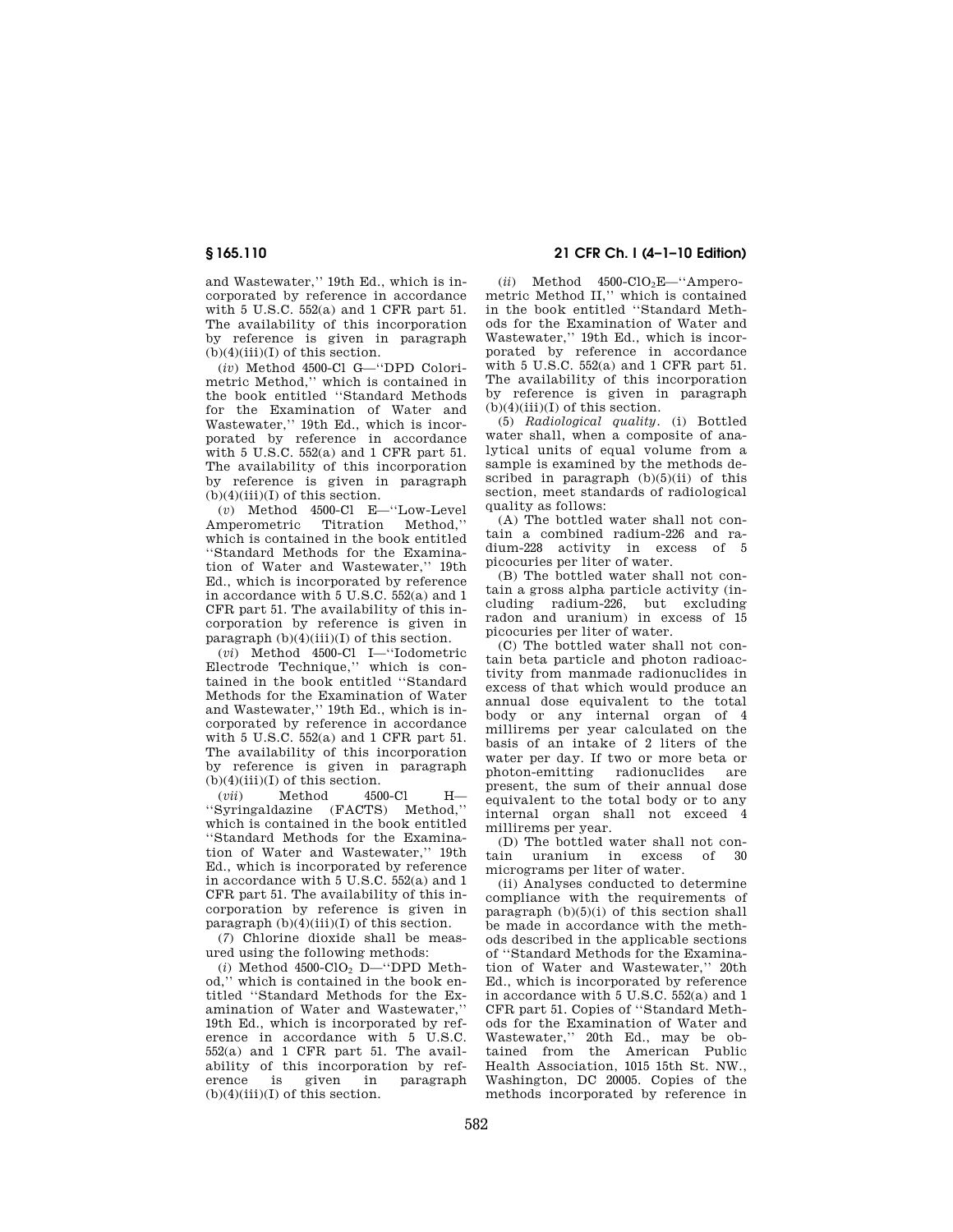and Wastewater,'' 19th Ed., which is incorporated by reference in accordance with 5 U.S.C. 552(a) and 1 CFR part 51. The availability of this incorporation by reference is given in paragraph  $(b)(4)(iii)(I)$  of this section.

(*iv*) Method 4500-Cl G—''DPD Colorimetric Method,'' which is contained in the book entitled ''Standard Methods for the Examination of Water and Wastewater,'' 19th Ed., which is incorporated by reference in accordance with 5 U.S.C. 552(a) and 1 CFR part 51. The availability of this incorporation by reference is given in paragraph  $(b)(4)(iii)(I)$  of this section.

(*v*) Method 4500-Cl E—''Low-Level Amperometric Titration Method,'' which is contained in the book entitled ''Standard Methods for the Examination of Water and Wastewater,'' 19th Ed., which is incorporated by reference in accordance with 5 U.S.C. 552(a) and 1 CFR part 51. The availability of this incorporation by reference is given in paragraph  $(b)(4)(iii)(I)$  of this section.

(*vi*) Method 4500-Cl I—''Iodometric Electrode Technique,'' which is contained in the book entitled ''Standard Methods for the Examination of Water and Wastewater,'' 19th Ed., which is incorporated by reference in accordance with 5 U.S.C. 552(a) and 1 CFR part 51. The availability of this incorporation by reference is given in paragraph  $(b)(4)(iii)(I)$  of this section.

(*vii*) Method 4500-Cl H— ''Syringaldazine (FACTS) Method,'' which is contained in the book entitled ''Standard Methods for the Examination of Water and Wastewater,'' 19th Ed., which is incorporated by reference in accordance with 5 U.S.C. 552(a) and 1 CFR part 51. The availability of this incorporation by reference is given in paragraph  $(b)(4)(iii)(I)$  of this section.

(*7*) Chlorine dioxide shall be measured using the following methods:

 $(i)$  Method 4500-ClO<sub>2</sub> D-"DPD Method,'' which is contained in the book entitled ''Standard Methods for the Examination of Water and Wastewater,'' 19th Ed., which is incorporated by reference in accordance with 5 U.S.C. 552(a) and 1 CFR part 51. The availability of this incorporation by reference is given in  $(b)(4)(iii)(I)$  of this section.

# **§ 165.110 21 CFR Ch. I (4–1–10 Edition)**

 $(ii)$  Method  $4500$ -ClO<sub>2</sub>E—"Amperometric Method II,'' which is contained in the book entitled ''Standard Methods for the Examination of Water and Wastewater,'' 19th Ed., which is incorporated by reference in accordance with 5 U.S.C. 552(a) and 1 CFR part 51. The availability of this incorporation by reference is given in paragraph (b)(4)(iii)(I) of this section.

(5) *Radiological quality.* (i) Bottled water shall, when a composite of analytical units of equal volume from a sample is examined by the methods described in paragraph  $(b)(5)(ii)$  of this section, meet standards of radiological quality as follows:

(A) The bottled water shall not contain a combined radium-226 and radium-228 activity in excess of 5 picocuries per liter of water.

(B) The bottled water shall not contain a gross alpha particle activity (including radium-226, but excluding radon and uranium) in excess of 15 picocuries per liter of water.

(C) The bottled water shall not contain beta particle and photon radioactivity from manmade radionuclides in excess of that which would produce an annual dose equivalent to the total body or any internal organ of 4 millirems per year calculated on the basis of an intake of 2 liters of the water per day. If two or more beta or photon-emitting radionuclides are present, the sum of their annual dose equivalent to the total body or to any internal organ shall not exceed 4 millirems per year.

(D) The bottled water shall not con-<br> $\frac{1}{2}$  in excess of 30 tain uranium in excess micrograms per liter of water.

(ii) Analyses conducted to determine compliance with the requirements of paragraph  $(b)(5)(i)$  of this section shall be made in accordance with the methods described in the applicable sections of ''Standard Methods for the Examination of Water and Wastewater,'' 20th Ed., which is incorporated by reference in accordance with 5 U.S.C. 552(a) and 1 CFR part 51. Copies of ''Standard Methods for the Examination of Water and Wastewater,'' 20th Ed., may be obtained from the American Public Health Association, 1015 15th St. NW., Washington, DC 20005. Copies of the methods incorporated by reference in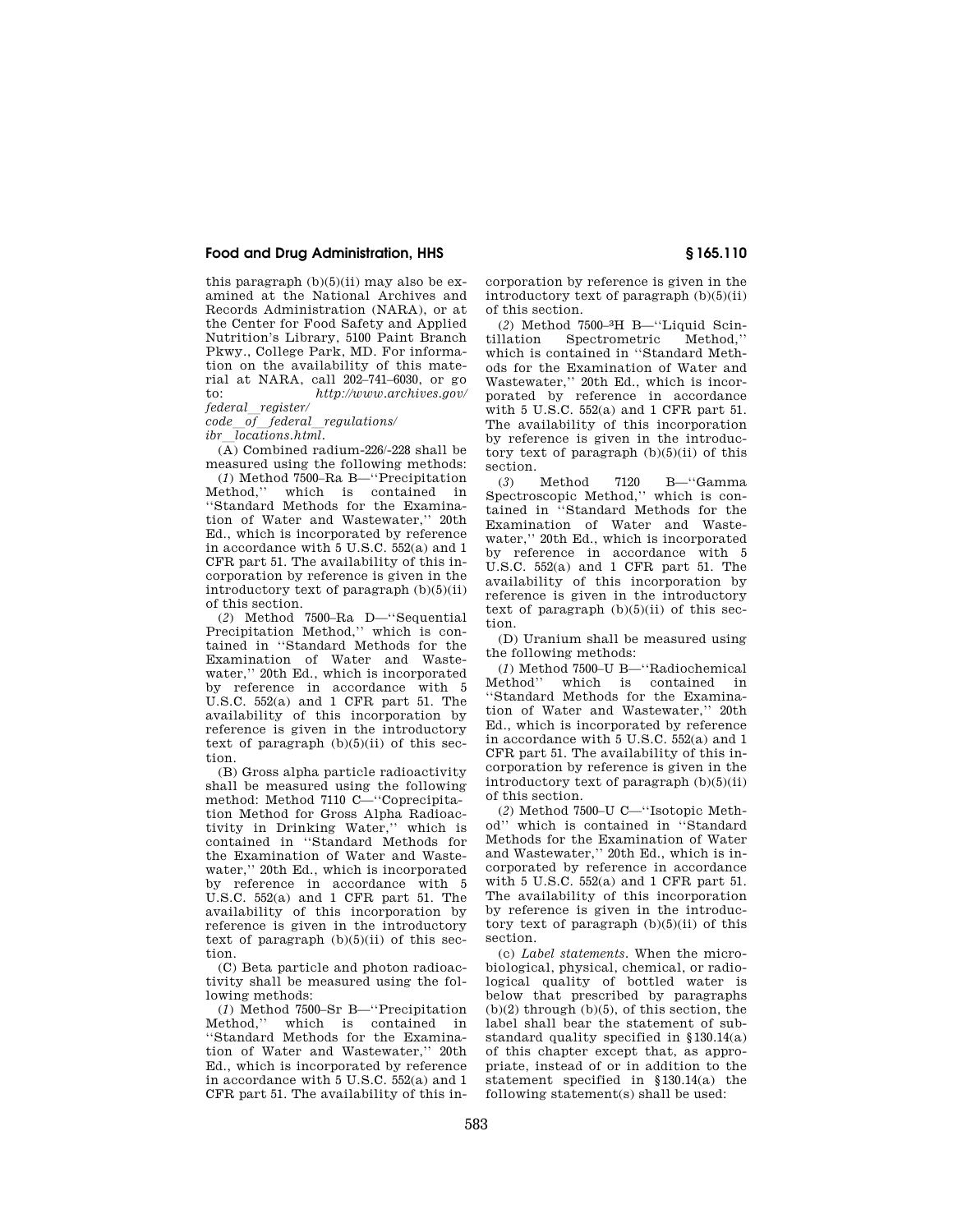this paragraph  $(b)(5)(ii)$  may also be examined at the National Archives and Records Administration (NARA), or at the Center for Food Safety and Applied Nutrition's Library, 5100 Paint Branch Pkwy., College Park, MD. For information on the availability of this material at NARA, call 202–741–6030, or go to: *http://www.archives.gov/ federal*l*register/* 

*code*l*of*l*federal*l*regulations/* 

*ibr*l*locations.html.* 

 $(\overline{A})$  Combined radium-226/-228 shall be measured using the following methods:

(*1*) Method 7500–Ra B—''Precipitation Method,'' which is contained in ''Standard Methods for the Examination of Water and Wastewater,'' 20th Ed., which is incorporated by reference in accordance with 5 U.S.C. 552(a) and 1 CFR part 51. The availability of this incorporation by reference is given in the introductory text of paragraph (b)(5)(ii) of this section.

(*2*) Method 7500–Ra D—''Sequential Precipitation Method,'' which is contained in ''Standard Methods for the Examination of Water and Wastewater,'' 20th Ed., which is incorporated by reference in accordance with 5 U.S.C. 552(a) and 1 CFR part 51. The availability of this incorporation by reference is given in the introductory text of paragraph  $(b)(5)(ii)$  of this section.

(B) Gross alpha particle radioactivity shall be measured using the following method: Method 7110 C—''Coprecipitation Method for Gross Alpha Radioactivity in Drinking Water,'' which is contained in ''Standard Methods for the Examination of Water and Wastewater,'' 20th Ed., which is incorporated by reference in accordance with 5 U.S.C. 552(a) and 1 CFR part 51. The availability of this incorporation by reference is given in the introductory text of paragraph  $(b)(5)(ii)$  of this section.

(C) Beta particle and photon radioactivity shall be measured using the following methods:

(*1*) Method 7500–Sr B—''Precipitation which is contained in ''Standard Methods for the Examination of Water and Wastewater,'' 20th Ed., which is incorporated by reference in accordance with 5 U.S.C. 552(a) and 1 CFR part 51. The availability of this incorporation by reference is given in the introductory text of paragraph (b)(5)(ii) of this section.

(*2*) Method 7500–3H B—''Liquid Scintillation Spectrometric Method,'' which is contained in ''Standard Methods for the Examination of Water and Wastewater,'' 20th Ed., which is incorporated by reference in accordance with 5 U.S.C. 552(a) and 1 CFR part 51. The availability of this incorporation by reference is given in the introductory text of paragraph (b)(5)(ii) of this section.

(*3*) Method 7120 B—''Gamma Spectroscopic Method,'' which is contained in ''Standard Methods for the Examination of Water and Wastewater,'' 20th Ed., which is incorporated by reference in accordance with 5 U.S.C. 552(a) and 1 CFR part 51. The availability of this incorporation by reference is given in the introductory text of paragraph  $(b)(5)(ii)$  of this section.

(D) Uranium shall be measured using the following methods:

(*1*) Method 7500–U B—''Radiochemical which is contained in ''Standard Methods for the Examination of Water and Wastewater,'' 20th Ed., which is incorporated by reference in accordance with 5 U.S.C. 552(a) and 1 CFR part 51. The availability of this incorporation by reference is given in the introductory text of paragraph (b)(5)(ii) of this section.

(*2*) Method 7500–U C—''Isotopic Method'' which is contained in ''Standard Methods for the Examination of Water and Wastewater,'' 20th Ed., which is incorporated by reference in accordance with 5 U.S.C. 552(a) and 1 CFR part 51. The availability of this incorporation by reference is given in the introductory text of paragraph  $(b)(5)(ii)$  of this section.

(c) *Label statements.* When the microbiological, physical, chemical, or radiological quality of bottled water is below that prescribed by paragraphs  $(b)(2)$  through  $(b)(5)$ , of this section, the label shall bear the statement of substandard quality specified in §130.14(a) of this chapter except that, as appropriate, instead of or in addition to the statement specified in §130.14(a) the following statement(s) shall be used: